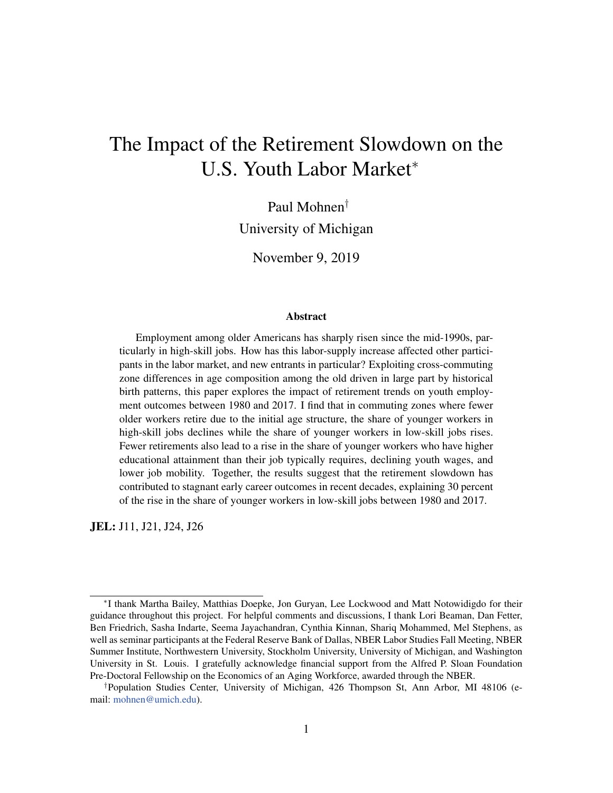# The Impact of the Retirement Slowdown on the U.S. Youth Labor Market<sup>∗</sup>

Paul Mohnen†

University of Michigan

November 9, 2019

#### Abstract

Employment among older Americans has sharply risen since the mid-1990s, particularly in high-skill jobs. How has this labor-supply increase affected other participants in the labor market, and new entrants in particular? Exploiting cross-commuting zone differences in age composition among the old driven in large part by historical birth patterns, this paper explores the impact of retirement trends on youth employment outcomes between 1980 and 2017. I find that in commuting zones where fewer older workers retire due to the initial age structure, the share of younger workers in high-skill jobs declines while the share of younger workers in low-skill jobs rises. Fewer retirements also lead to a rise in the share of younger workers who have higher educational attainment than their job typically requires, declining youth wages, and lower job mobility. Together, the results suggest that the retirement slowdown has contributed to stagnant early career outcomes in recent decades, explaining 30 percent of the rise in the share of younger workers in low-skill jobs between 1980 and 2017.

JEL: J11, J21, J24, J26

<sup>∗</sup> I thank Martha Bailey, Matthias Doepke, Jon Guryan, Lee Lockwood and Matt Notowidigdo for their guidance throughout this project. For helpful comments and discussions, I thank Lori Beaman, Dan Fetter, Ben Friedrich, Sasha Indarte, Seema Jayachandran, Cynthia Kinnan, Shariq Mohammed, Mel Stephens, as well as seminar participants at the Federal Reserve Bank of Dallas, NBER Labor Studies Fall Meeting, NBER Summer Institute, Northwestern University, Stockholm University, University of Michigan, and Washington University in St. Louis. I gratefully acknowledge financial support from the Alfred P. Sloan Foundation Pre-Doctoral Fellowship on the Economics of an Aging Workforce, awarded through the NBER.

<sup>†</sup>Population Studies Center, University of Michigan, 426 Thompson St, Ann Arbor, MI 48106 (email: [mohnen@umich.edu\)](mohnen@umich.edu).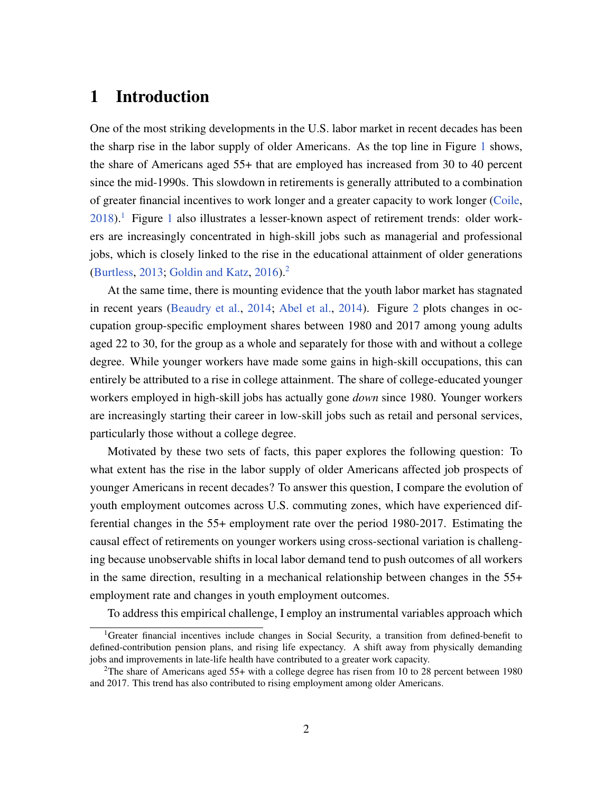## 1 Introduction

One of the most striking developments in the U.S. labor market in recent decades has been the sharp rise in the labor supply of older Americans. As the top line in Figure [1](#page-2-0) shows, the share of Americans aged 55+ that are employed has increased from 30 to 40 percent since the mid-1990s. This slowdown in retirements is generally attributed to a combination of greater financial incentives to work longer and a greater capacity to work longer [\(Coile,](#page-35-0)  $2018$  $2018$  $2018$ ).<sup>1</sup> Figure 1 also illustrates a lesser-known aspect of retirement trends: older workers are increasingly concentrated in high-skill jobs such as managerial and professional jobs, which is closely linked to the rise in the educational attainment of older generations [\(Burtless,](#page-35-1) [2013;](#page-35-1) [Goldin and Katz,](#page-36-0) [2016\)](#page-36-0).[2](#page-1-1)

At the same time, there is mounting evidence that the youth labor market has stagnated in recent years [\(Beaudry et al.,](#page-34-0) [2014;](#page-34-0) [Abel et al.,](#page-34-1) [2014\)](#page-34-1). Figure [2](#page-3-0) plots changes in occupation group-specific employment shares between 1980 and 2017 among young adults aged 22 to 30, for the group as a whole and separately for those with and without a college degree. While younger workers have made some gains in high-skill occupations, this can entirely be attributed to a rise in college attainment. The share of college-educated younger workers employed in high-skill jobs has actually gone *down* since 1980. Younger workers are increasingly starting their career in low-skill jobs such as retail and personal services, particularly those without a college degree.

Motivated by these two sets of facts, this paper explores the following question: To what extent has the rise in the labor supply of older Americans affected job prospects of younger Americans in recent decades? To answer this question, I compare the evolution of youth employment outcomes across U.S. commuting zones, which have experienced differential changes in the 55+ employment rate over the period 1980-2017. Estimating the causal effect of retirements on younger workers using cross-sectional variation is challenging because unobservable shifts in local labor demand tend to push outcomes of all workers in the same direction, resulting in a mechanical relationship between changes in the 55+ employment rate and changes in youth employment outcomes.

<span id="page-1-0"></span>To address this empirical challenge, I employ an instrumental variables approach which

<sup>&</sup>lt;sup>1</sup>Greater financial incentives include changes in Social Security, a transition from defined-benefit to defined-contribution pension plans, and rising life expectancy. A shift away from physically demanding jobs and improvements in late-life health have contributed to a greater work capacity.

<span id="page-1-1"></span><sup>&</sup>lt;sup>2</sup>The share of Americans aged 55+ with a college degree has risen from 10 to 28 percent between 1980 and 2017. This trend has also contributed to rising employment among older Americans.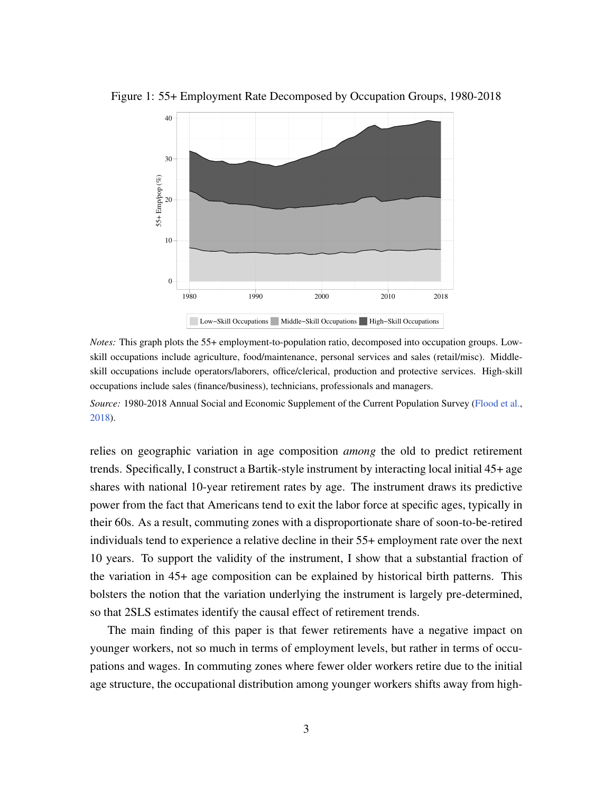

<span id="page-2-0"></span>Figure 1: 55+ Employment Rate Decomposed by Occupation Groups, 1980-2018

*Notes:* This graph plots the 55+ employment-to-population ratio, decomposed into occupation groups. Lowskill occupations include agriculture, food/maintenance, personal services and sales (retail/misc). Middleskill occupations include operators/laborers, office/clerical, production and protective services. High-skill occupations include sales (finance/business), technicians, professionals and managers.

*Source:* 1980-2018 Annual Social and Economic Supplement of the Current Population Survey [\(Flood et al.,](#page-35-2) [2018\)](#page-35-2).

relies on geographic variation in age composition *among* the old to predict retirement trends. Specifically, I construct a Bartik-style instrument by interacting local initial 45+ age shares with national 10-year retirement rates by age. The instrument draws its predictive power from the fact that Americans tend to exit the labor force at specific ages, typically in their 60s. As a result, commuting zones with a disproportionate share of soon-to-be-retired individuals tend to experience a relative decline in their 55+ employment rate over the next 10 years. To support the validity of the instrument, I show that a substantial fraction of the variation in 45+ age composition can be explained by historical birth patterns. This bolsters the notion that the variation underlying the instrument is largely pre-determined, so that 2SLS estimates identify the causal effect of retirement trends.

The main finding of this paper is that fewer retirements have a negative impact on younger workers, not so much in terms of employment levels, but rather in terms of occupations and wages. In commuting zones where fewer older workers retire due to the initial age structure, the occupational distribution among younger workers shifts away from high-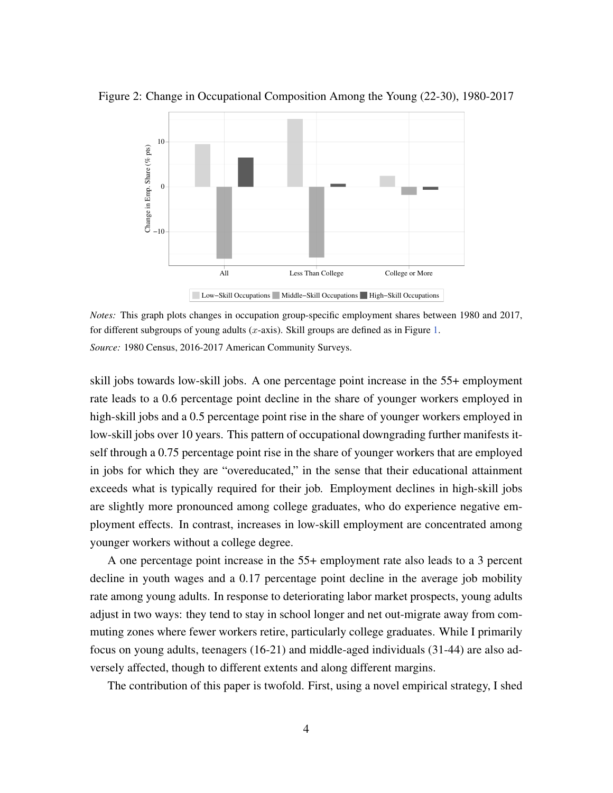

<span id="page-3-0"></span>Figure 2: Change in Occupational Composition Among the Young (22-30), 1980-2017

*Notes:* This graph plots changes in occupation group-specific employment shares between 1980 and 2017, for different subgroups of young adults  $(x$ -axis). Skill groups are defined as in Figure [1.](#page-2-0) *Source:* 1980 Census, 2016-2017 American Community Surveys.

skill jobs towards low-skill jobs. A one percentage point increase in the 55+ employment rate leads to a 0.6 percentage point decline in the share of younger workers employed in high-skill jobs and a 0.5 percentage point rise in the share of younger workers employed in low-skill jobs over 10 years. This pattern of occupational downgrading further manifests itself through a 0.75 percentage point rise in the share of younger workers that are employed in jobs for which they are "overeducated," in the sense that their educational attainment exceeds what is typically required for their job. Employment declines in high-skill jobs are slightly more pronounced among college graduates, who do experience negative employment effects. In contrast, increases in low-skill employment are concentrated among younger workers without a college degree.

A one percentage point increase in the 55+ employment rate also leads to a 3 percent decline in youth wages and a 0.17 percentage point decline in the average job mobility rate among young adults. In response to deteriorating labor market prospects, young adults adjust in two ways: they tend to stay in school longer and net out-migrate away from commuting zones where fewer workers retire, particularly college graduates. While I primarily focus on young adults, teenagers (16-21) and middle-aged individuals (31-44) are also adversely affected, though to different extents and along different margins.

The contribution of this paper is twofold. First, using a novel empirical strategy, I shed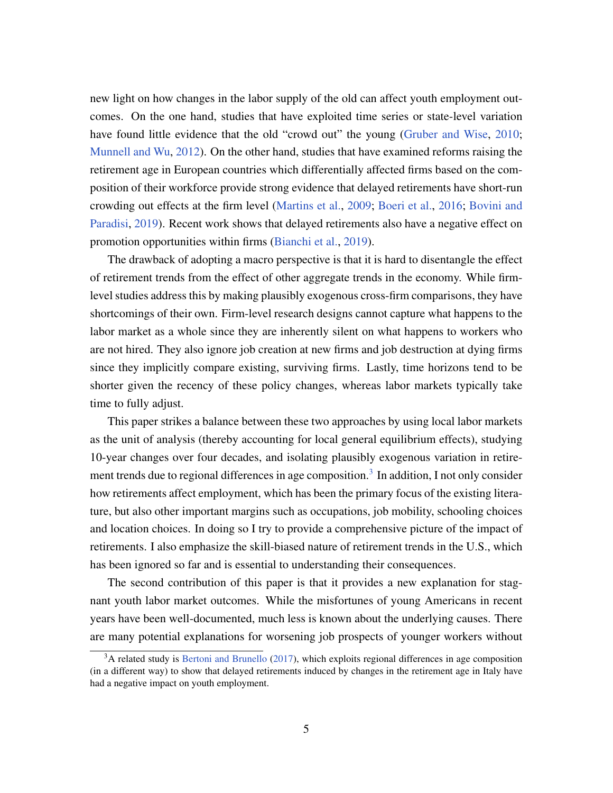new light on how changes in the labor supply of the old can affect youth employment outcomes. On the one hand, studies that have exploited time series or state-level variation have found little evidence that the old "crowd out" the young [\(Gruber and Wise,](#page-36-1) [2010;](#page-36-1) [Munnell and Wu,](#page-36-2) [2012\)](#page-36-2). On the other hand, studies that have examined reforms raising the retirement age in European countries which differentially affected firms based on the composition of their workforce provide strong evidence that delayed retirements have short-run crowding out effects at the firm level [\(Martins et al.,](#page-36-3) [2009;](#page-36-3) [Boeri et al.,](#page-34-2) [2016;](#page-34-2) [Bovini and](#page-35-3) [Paradisi,](#page-35-3) [2019\)](#page-35-3). Recent work shows that delayed retirements also have a negative effect on promotion opportunities within firms [\(Bianchi et al.,](#page-34-3) [2019\)](#page-34-3).

The drawback of adopting a macro perspective is that it is hard to disentangle the effect of retirement trends from the effect of other aggregate trends in the economy. While firmlevel studies address this by making plausibly exogenous cross-firm comparisons, they have shortcomings of their own. Firm-level research designs cannot capture what happens to the labor market as a whole since they are inherently silent on what happens to workers who are not hired. They also ignore job creation at new firms and job destruction at dying firms since they implicitly compare existing, surviving firms. Lastly, time horizons tend to be shorter given the recency of these policy changes, whereas labor markets typically take time to fully adjust.

This paper strikes a balance between these two approaches by using local labor markets as the unit of analysis (thereby accounting for local general equilibrium effects), studying 10-year changes over four decades, and isolating plausibly exogenous variation in retire-ment trends due to regional differences in age composition.<sup>[3](#page-4-0)</sup> In addition, I not only consider how retirements affect employment, which has been the primary focus of the existing literature, but also other important margins such as occupations, job mobility, schooling choices and location choices. In doing so I try to provide a comprehensive picture of the impact of retirements. I also emphasize the skill-biased nature of retirement trends in the U.S., which has been ignored so far and is essential to understanding their consequences.

The second contribution of this paper is that it provides a new explanation for stagnant youth labor market outcomes. While the misfortunes of young Americans in recent years have been well-documented, much less is known about the underlying causes. There are many potential explanations for worsening job prospects of younger workers without

<span id="page-4-0"></span> $3A$  related study is [Bertoni and Brunello](#page-34-4) [\(2017\)](#page-34-4), which exploits regional differences in age composition (in a different way) to show that delayed retirements induced by changes in the retirement age in Italy have had a negative impact on youth employment.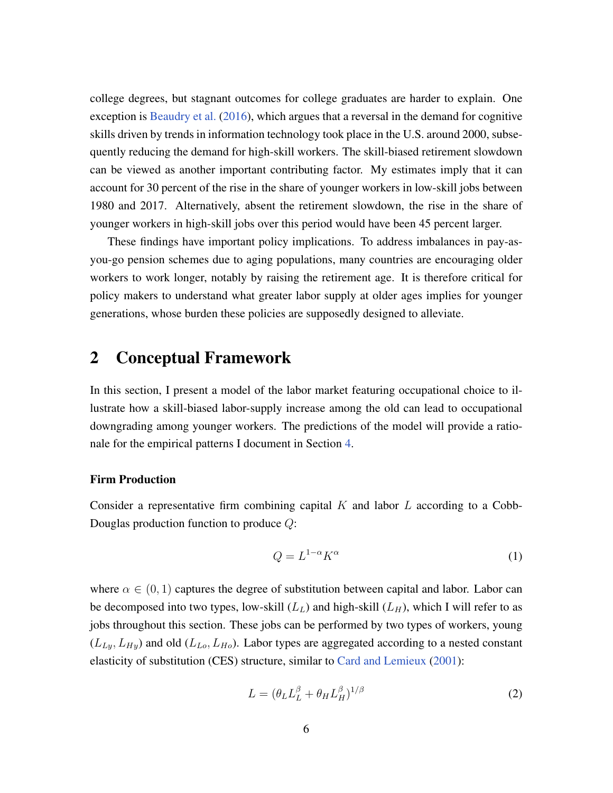college degrees, but stagnant outcomes for college graduates are harder to explain. One exception is [Beaudry et al.](#page-34-5) [\(2016\)](#page-34-5), which argues that a reversal in the demand for cognitive skills driven by trends in information technology took place in the U.S. around 2000, subsequently reducing the demand for high-skill workers. The skill-biased retirement slowdown can be viewed as another important contributing factor. My estimates imply that it can account for 30 percent of the rise in the share of younger workers in low-skill jobs between 1980 and 2017. Alternatively, absent the retirement slowdown, the rise in the share of younger workers in high-skill jobs over this period would have been 45 percent larger.

These findings have important policy implications. To address imbalances in pay-asyou-go pension schemes due to aging populations, many countries are encouraging older workers to work longer, notably by raising the retirement age. It is therefore critical for policy makers to understand what greater labor supply at older ages implies for younger generations, whose burden these policies are supposedly designed to alleviate.

## <span id="page-5-0"></span>2 Conceptual Framework

In this section, I present a model of the labor market featuring occupational choice to illustrate how a skill-biased labor-supply increase among the old can lead to occupational downgrading among younger workers. The predictions of the model will provide a rationale for the empirical patterns I document in Section [4.](#page-16-0)

#### Firm Production

Consider a representative firm combining capital  $K$  and labor  $L$  according to a Cobb-Douglas production function to produce Q:

$$
Q = L^{1-\alpha} K^{\alpha} \tag{1}
$$

where  $\alpha \in (0, 1)$  captures the degree of substitution between capital and labor. Labor can be decomposed into two types, low-skill  $(L_L)$  and high-skill  $(L_H)$ , which I will refer to as jobs throughout this section. These jobs can be performed by two types of workers, young  $(L_{Ly}, L_{Hy})$  and old  $(L_{Lo}, L_{Ho})$ . Labor types are aggregated according to a nested constant elasticity of substitution (CES) structure, similar to [Card and Lemieux](#page-35-4) [\(2001\)](#page-35-4):

$$
L = (\theta_L L_L^{\beta} + \theta_H L_H^{\beta})^{1/\beta} \tag{2}
$$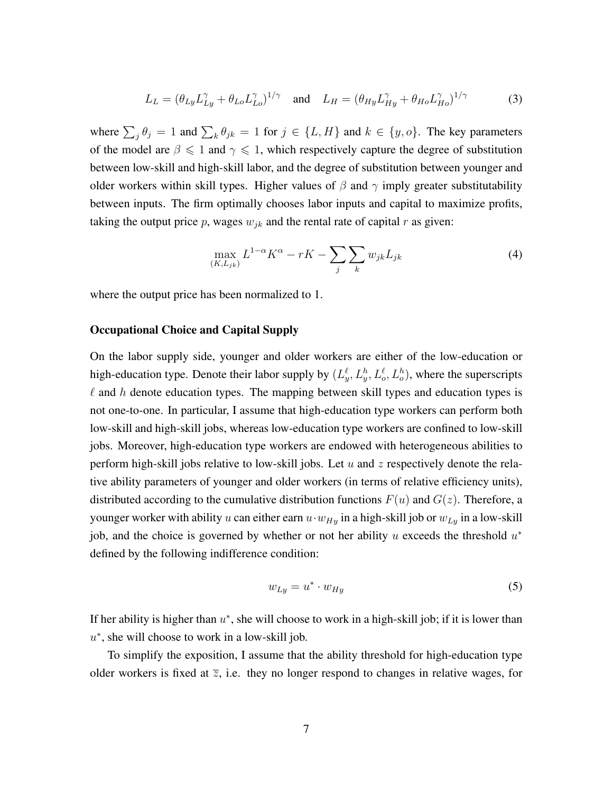$$
L_L = (\theta_{Ly} L_{Ly}^{\gamma} + \theta_{Lo} L_{Lo}^{\gamma})^{1/\gamma} \quad \text{and} \quad L_H = (\theta_{Hy} L_{Hy}^{\gamma} + \theta_{Ho} L_{Ho}^{\gamma})^{1/\gamma} \tag{3}
$$

where  $\sum_j \theta_j = 1$  and  $\sum_k \theta_{jk} = 1$  for  $j \in \{L, H\}$  and  $k \in \{y, o\}$ . The key parameters of the model are  $\beta \leq 1$  and  $\gamma \leq 1$ , which respectively capture the degree of substitution between low-skill and high-skill labor, and the degree of substitution between younger and older workers within skill types. Higher values of  $\beta$  and  $\gamma$  imply greater substitutability between inputs. The firm optimally chooses labor inputs and capital to maximize profits, taking the output price p, wages  $w_{ik}$  and the rental rate of capital r as given:

<span id="page-6-0"></span>
$$
\max_{(K,L_{jk})} L^{1-\alpha} K^{\alpha} - rK - \sum_{j} \sum_{k} w_{jk} L_{jk} \tag{4}
$$

where the output price has been normalized to 1.

#### Occupational Choice and Capital Supply

On the labor supply side, younger and older workers are either of the low-education or high-education type. Denote their labor supply by  $(L_y^{\ell}, L_y^h, L_o^{\ell}, L_o^h)$ , where the superscripts  $\ell$  and h denote education types. The mapping between skill types and education types is not one-to-one. In particular, I assume that high-education type workers can perform both low-skill and high-skill jobs, whereas low-education type workers are confined to low-skill jobs. Moreover, high-education type workers are endowed with heterogeneous abilities to perform high-skill jobs relative to low-skill jobs. Let  $u$  and  $z$  respectively denote the relative ability parameters of younger and older workers (in terms of relative efficiency units), distributed according to the cumulative distribution functions  $F(u)$  and  $G(z)$ . Therefore, a younger worker with ability u can either earn  $u \cdot w_{Hy}$  in a high-skill job or  $w_{Ly}$  in a low-skill job, and the choice is governed by whether or not her ability  $u$  exceeds the threshold  $u^*$ defined by the following indifference condition:

<span id="page-6-1"></span>
$$
w_{Ly} = u^* \cdot w_{Hy} \tag{5}
$$

If her ability is higher than  $u^*$ , she will choose to work in a high-skill job; if it is lower than  $u^*$ , she will choose to work in a low-skill job.

To simplify the exposition, I assume that the ability threshold for high-education type older workers is fixed at  $\overline{z}$ , i.e. they no longer respond to changes in relative wages, for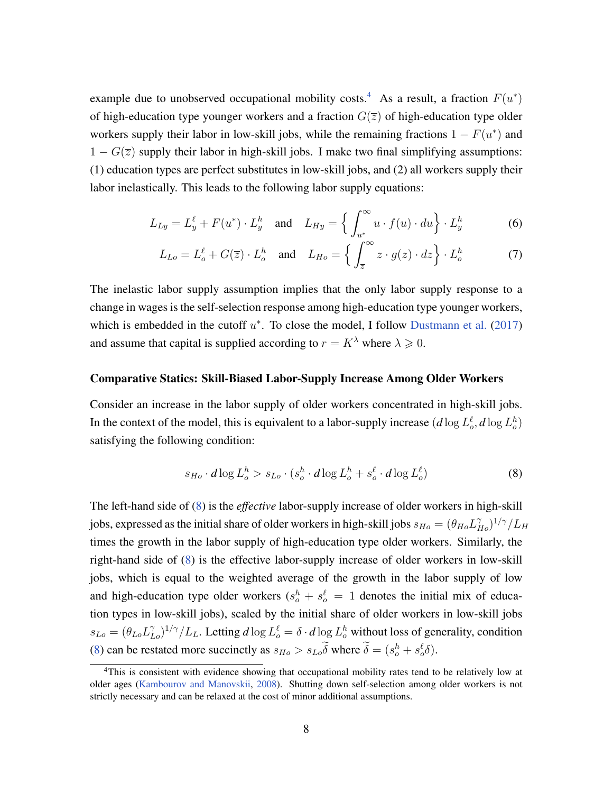example due to unobserved occupational mobility costs.<sup>[4](#page-7-0)</sup> As a result, a fraction  $F(u^*)$ of high-education type younger workers and a fraction  $G(\overline{z})$  of high-education type older workers supply their labor in low-skill jobs, while the remaining fractions  $1 - F(u^*)$  and  $1 - G(\overline{z})$  supply their labor in high-skill jobs. I make two final simplifying assumptions: (1) education types are perfect substitutes in low-skill jobs, and (2) all workers supply their labor inelastically. This leads to the following labor supply equations:

$$
L_{Ly} = L_y^{\ell} + F(u^*) \cdot L_y^h \quad \text{and} \quad L_{Hy} = \left\{ \int_{u^*}^{\infty} u \cdot f(u) \cdot du \right\} \cdot L_y^h \tag{6}
$$

$$
L_{Lo} = L_o^{\ell} + G(\overline{z}) \cdot L_o^h \quad \text{and} \quad L_{Ho} = \left\{ \int_{\overline{z}}^{\infty} z \cdot g(z) \cdot dz \right\} \cdot L_o^h \tag{7}
$$

The inelastic labor supply assumption implies that the only labor supply response to a change in wages is the self-selection response among high-education type younger workers, which is embedded in the cutoff  $u^*$ . To close the model, I follow [Dustmann et al.](#page-35-5) [\(2017\)](#page-35-5) and assume that capital is supplied according to  $r = K^{\lambda}$  where  $\lambda \ge 0$ .

#### Comparative Statics: Skill-Biased Labor-Supply Increase Among Older Workers

Consider an increase in the labor supply of older workers concentrated in high-skill jobs. In the context of the model, this is equivalent to a labor-supply increase  $(d \log L_o^{\ell}, d \log L_o^h)$ satisfying the following condition:

<span id="page-7-1"></span>
$$
s_{Ho} \cdot d\log L_o^h > s_{Lo} \cdot (s_o^h \cdot d\log L_o^h + s_o^\ell \cdot d\log L_o^\ell)
$$
 (8)

The left-hand side of [\(8\)](#page-7-1) is the *effective* labor-supply increase of older workers in high-skill jobs, expressed as the initial share of older workers in high-skill jobs  $s_{Ho}=(\theta_{Ho}L_{Ho}^{\gamma})^{1/\gamma}/L_H$ times the growth in the labor supply of high-education type older workers. Similarly, the right-hand side of [\(8\)](#page-7-1) is the effective labor-supply increase of older workers in low-skill jobs, which is equal to the weighted average of the growth in the labor supply of low and high-education type older workers  $(s_o^h + s_o^l = 1$  denotes the initial mix of education types in low-skill jobs), scaled by the initial share of older workers in low-skill jobs  $s_{Lo} = (\theta_{Lo} L_{Lo}^{\gamma})^{1/\gamma}/L_L$ . Letting  $d \log L_o^{\ell} = \delta \cdot d \log L_o^h$  without loss of generality, condition [\(8\)](#page-7-1) can be restated more succinctly as  $s_{H_o} > s_{Lo}\delta$  where  $\delta = (s_o^h + s_o^{\ell}\delta)$ .

<span id="page-7-0"></span><sup>&</sup>lt;sup>4</sup>This is consistent with evidence showing that occupational mobility rates tend to be relatively low at older ages [\(Kambourov and Manovskii,](#page-36-4) [2008\)](#page-36-4). Shutting down self-selection among older workers is not strictly necessary and can be relaxed at the cost of minor additional assumptions.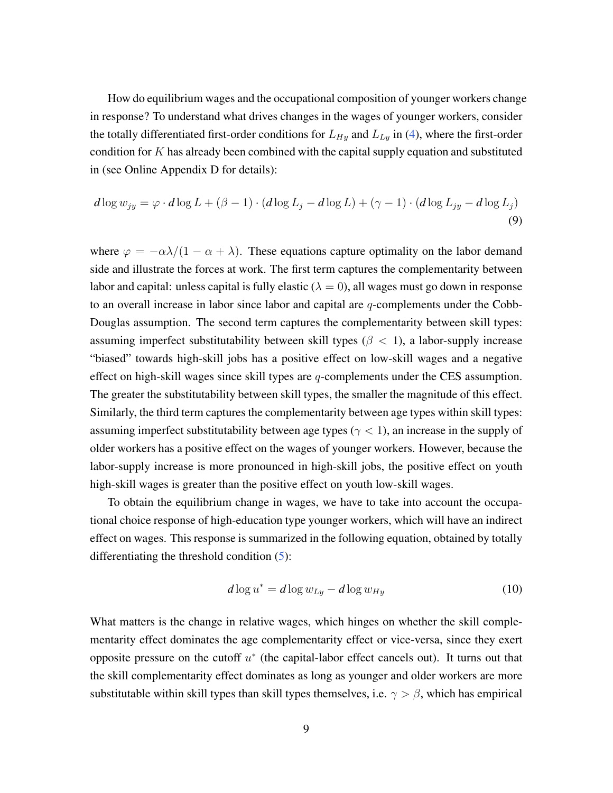How do equilibrium wages and the occupational composition of younger workers change in response? To understand what drives changes in the wages of younger workers, consider the totally differentiated first-order conditions for  $L_{Hy}$  and  $L_{Ly}$  in [\(4\)](#page-6-0), where the first-order condition for  $K$  has already been combined with the capital supply equation and substituted in (see Online Appendix D for details):

$$
d\log w_{jy} = \varphi \cdot d\log L + (\beta - 1) \cdot (d\log L_j - d\log L) + (\gamma - 1) \cdot (d\log L_{jy} - d\log L_j)
$$
\n(9)

where  $\varphi = -\alpha \lambda/(1 - \alpha + \lambda)$ . These equations capture optimality on the labor demand side and illustrate the forces at work. The first term captures the complementarity between labor and capital: unless capital is fully elastic ( $\lambda = 0$ ), all wages must go down in response to an overall increase in labor since labor and capital are  $q$ -complements under the Cobb-Douglas assumption. The second term captures the complementarity between skill types: assuming imperfect substitutability between skill types ( $\beta$  < 1), a labor-supply increase "biased" towards high-skill jobs has a positive effect on low-skill wages and a negative effect on high-skill wages since skill types are  $q$ -complements under the CES assumption. The greater the substitutability between skill types, the smaller the magnitude of this effect. Similarly, the third term captures the complementarity between age types within skill types: assuming imperfect substitutability between age types ( $\gamma$  < 1), an increase in the supply of older workers has a positive effect on the wages of younger workers. However, because the labor-supply increase is more pronounced in high-skill jobs, the positive effect on youth high-skill wages is greater than the positive effect on youth low-skill wages.

To obtain the equilibrium change in wages, we have to take into account the occupational choice response of high-education type younger workers, which will have an indirect effect on wages. This response is summarized in the following equation, obtained by totally differentiating the threshold condition [\(5\)](#page-6-1):

$$
d\log u^* = d\log w_{Ly} - d\log w_{Hy} \tag{10}
$$

What matters is the change in relative wages, which hinges on whether the skill complementarity effect dominates the age complementarity effect or vice-versa, since they exert opposite pressure on the cutoff  $u^*$  (the capital-labor effect cancels out). It turns out that the skill complementarity effect dominates as long as younger and older workers are more substitutable within skill types than skill types themselves, i.e.  $\gamma > \beta$ , which has empirical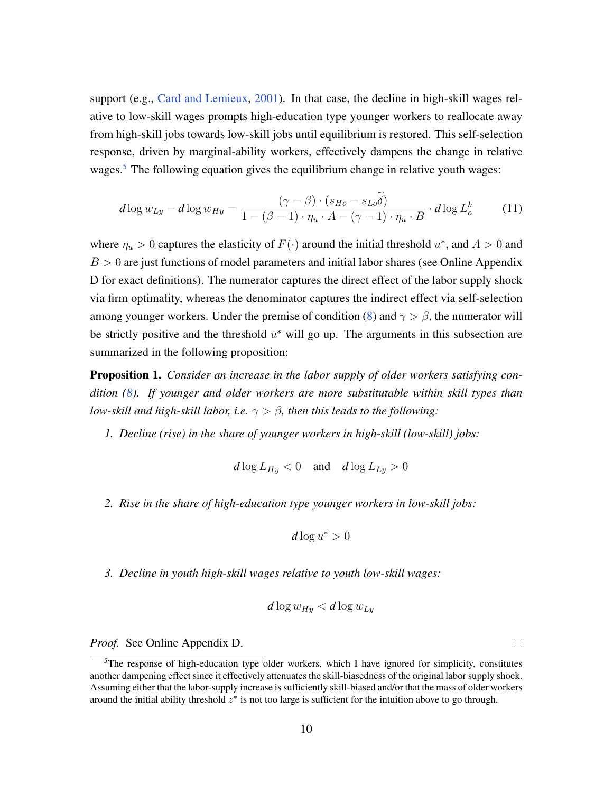support (e.g., [Card and Lemieux,](#page-35-4) [2001\)](#page-35-4). In that case, the decline in high-skill wages relative to low-skill wages prompts high-education type younger workers to reallocate away from high-skill jobs towards low-skill jobs until equilibrium is restored. This self-selection response, driven by marginal-ability workers, effectively dampens the change in relative wages.<sup>[5](#page-9-0)</sup> The following equation gives the equilibrium change in relative youth wages:

$$
d\log w_{Ly} - d\log w_{Hy} = \frac{(\gamma - \beta) \cdot (s_{Ho} - s_{Lo}\tilde{\delta})}{1 - (\beta - 1) \cdot \eta_u \cdot A - (\gamma - 1) \cdot \eta_u \cdot B} \cdot d\log L_o^h \tag{11}
$$

where  $\eta_u > 0$  captures the elasticity of  $F(\cdot)$  around the initial threshold  $u^*$ , and  $A > 0$  and  $B > 0$  are just functions of model parameters and initial labor shares (see Online Appendix D for exact definitions). The numerator captures the direct effect of the labor supply shock via firm optimality, whereas the denominator captures the indirect effect via self-selection among younger workers. Under the premise of condition [\(8\)](#page-7-1) and  $\gamma > \beta$ , the numerator will be strictly positive and the threshold  $u^*$  will go up. The arguments in this subsection are summarized in the following proposition:

<span id="page-9-1"></span>Proposition 1. *Consider an increase in the labor supply of older workers satisfying condition [\(8\)](#page-7-1). If younger and older workers are more substitutable within skill types than low-skill and high-skill labor, i.e.*  $\gamma > \beta$ *, then this leads to the following:* 

*1. Decline (rise) in the share of younger workers in high-skill (low-skill) jobs:*

$$
d\log L_{Hy} < 0 \quad \text{and} \quad d\log L_{Ly} > 0
$$

*2. Rise in the share of high-education type younger workers in low-skill jobs:*

$$
d\log u^* > 0
$$

*3. Decline in youth high-skill wages relative to youth low-skill wages:*

$$
d\log w_{Hy} < d\log w_{Ly}
$$

*Proof.* See Online Appendix D.

 $\Box$ 

<span id="page-9-0"></span> $5$ The response of high-education type older workers, which I have ignored for simplicity, constitutes another dampening effect since it effectively attenuates the skill-biasedness of the original labor supply shock. Assuming either that the labor-supply increase is sufficiently skill-biased and/or that the mass of older workers around the initial ability threshold  $z^*$  is not too large is sufficient for the intuition above to go through.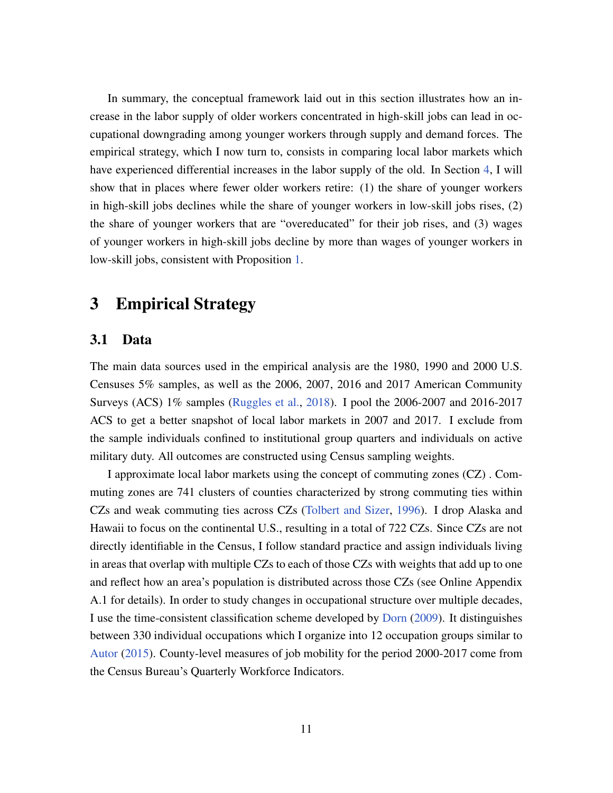In summary, the conceptual framework laid out in this section illustrates how an increase in the labor supply of older workers concentrated in high-skill jobs can lead in occupational downgrading among younger workers through supply and demand forces. The empirical strategy, which I now turn to, consists in comparing local labor markets which have experienced differential increases in the labor supply of the old. In Section [4,](#page-16-0) I will show that in places where fewer older workers retire: (1) the share of younger workers in high-skill jobs declines while the share of younger workers in low-skill jobs rises, (2) the share of younger workers that are "overeducated" for their job rises, and (3) wages of younger workers in high-skill jobs decline by more than wages of younger workers in low-skill jobs, consistent with Proposition [1.](#page-9-1)

## <span id="page-10-0"></span>3 Empirical Strategy

### 3.1 Data

The main data sources used in the empirical analysis are the 1980, 1990 and 2000 U.S. Censuses 5% samples, as well as the 2006, 2007, 2016 and 2017 American Community Surveys (ACS) 1% samples [\(Ruggles et al.,](#page-37-0) [2018\)](#page-37-0). I pool the 2006-2007 and 2016-2017 ACS to get a better snapshot of local labor markets in 2007 and 2017. I exclude from the sample individuals confined to institutional group quarters and individuals on active military duty. All outcomes are constructed using Census sampling weights.

I approximate local labor markets using the concept of commuting zones (CZ) . Commuting zones are 741 clusters of counties characterized by strong commuting ties within CZs and weak commuting ties across CZs [\(Tolbert and Sizer,](#page-37-1) [1996\)](#page-37-1). I drop Alaska and Hawaii to focus on the continental U.S., resulting in a total of 722 CZs. Since CZs are not directly identifiable in the Census, I follow standard practice and assign individuals living in areas that overlap with multiple CZs to each of those CZs with weights that add up to one and reflect how an area's population is distributed across those CZs (see Online Appendix A.1 for details). In order to study changes in occupational structure over multiple decades, I use the time-consistent classification scheme developed by [Dorn](#page-35-6) [\(2009\)](#page-35-6). It distinguishes between 330 individual occupations which I organize into 12 occupation groups similar to [Autor](#page-34-6) [\(2015\)](#page-34-6). County-level measures of job mobility for the period 2000-2017 come from the Census Bureau's Quarterly Workforce Indicators.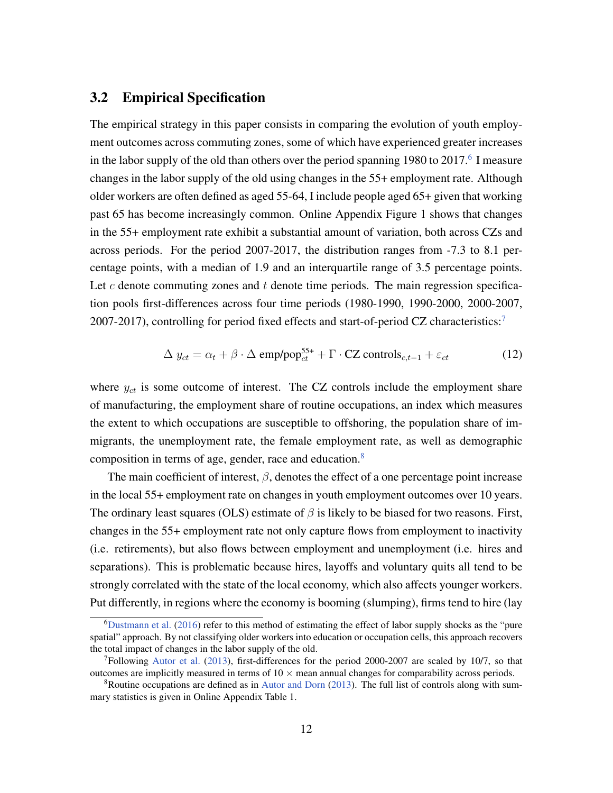### 3.2 Empirical Specification

The empirical strategy in this paper consists in comparing the evolution of youth employment outcomes across commuting zones, some of which have experienced greater increases in the labor supply of the old than others over the period spanning 1980 to 2017. $^6$  $^6$  I measure changes in the labor supply of the old using changes in the 55+ employment rate. Although older workers are often defined as aged 55-64, I include people aged 65+ given that working past 65 has become increasingly common. Online Appendix Figure 1 shows that changes in the 55+ employment rate exhibit a substantial amount of variation, both across CZs and across periods. For the period 2007-2017, the distribution ranges from -7.3 to 8.1 percentage points, with a median of 1.9 and an interquartile range of 3.5 percentage points. Let  $c$  denote commuting zones and  $t$  denote time periods. The main regression specification pools first-differences across four time periods (1980-1990, 1990-2000, 2000-2007, 200[7](#page-11-1)-2017), controlling for period fixed effects and start-of-period CZ characteristics:<sup>7</sup>

<span id="page-11-3"></span>
$$
\Delta y_{ct} = \alpha_t + \beta \cdot \Delta \text{ emp/pop}_{ct}^{55+} + \Gamma \cdot CZ \text{ controls}_{c,t-1} + \varepsilon_{ct}
$$
 (12)

where  $y_{ct}$  is some outcome of interest. The CZ controls include the employment share of manufacturing, the employment share of routine occupations, an index which measures the extent to which occupations are susceptible to offshoring, the population share of immigrants, the unemployment rate, the female employment rate, as well as demographic composition in terms of age, gender, race and education.<sup>[8](#page-11-2)</sup>

The main coefficient of interest,  $\beta$ , denotes the effect of a one percentage point increase in the local 55+ employment rate on changes in youth employment outcomes over 10 years. The ordinary least squares (OLS) estimate of  $\beta$  is likely to be biased for two reasons. First, changes in the 55+ employment rate not only capture flows from employment to inactivity (i.e. retirements), but also flows between employment and unemployment (i.e. hires and separations). This is problematic because hires, layoffs and voluntary quits all tend to be strongly correlated with the state of the local economy, which also affects younger workers. Put differently, in regions where the economy is booming (slumping), firms tend to hire (lay

<span id="page-11-0"></span> $6$ [Dustmann et al.](#page-35-7) [\(2016\)](#page-35-7) refer to this method of estimating the effect of labor supply shocks as the "pure spatial" approach. By not classifying older workers into education or occupation cells, this approach recovers the total impact of changes in the labor supply of the old.

<span id="page-11-1"></span> $7$ Following [Autor et al.](#page-34-7) [\(2013\)](#page-34-7), first-differences for the period 2000-2007 are scaled by 10/7, so that outcomes are implicitly measured in terms of  $10 \times$  mean annual changes for comparability across periods.

<span id="page-11-2"></span><sup>&</sup>lt;sup>8</sup>Routine occupations are defined as in [Autor and Dorn](#page-34-8) [\(2013\)](#page-34-8). The full list of controls along with summary statistics is given in Online Appendix Table 1.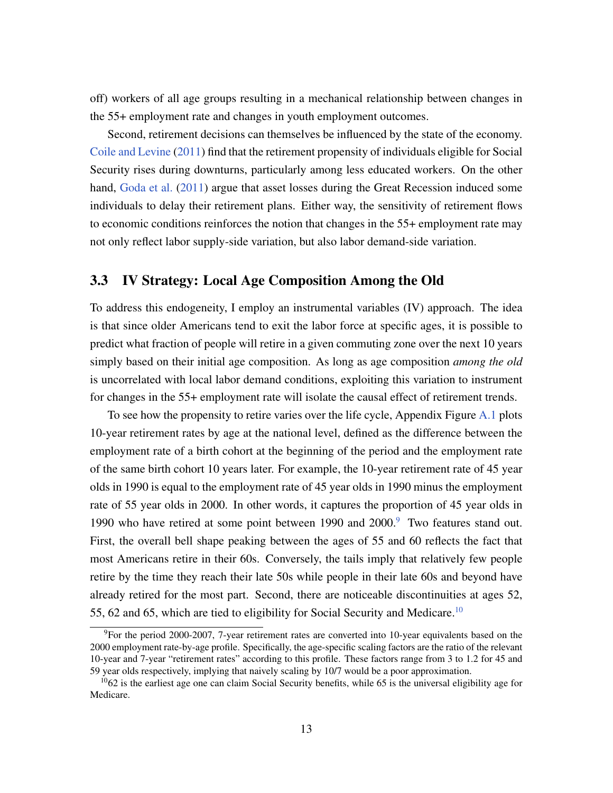off) workers of all age groups resulting in a mechanical relationship between changes in the 55+ employment rate and changes in youth employment outcomes.

Second, retirement decisions can themselves be influenced by the state of the economy. [Coile and Levine](#page-35-8) [\(2011\)](#page-35-8) find that the retirement propensity of individuals eligible for Social Security rises during downturns, particularly among less educated workers. On the other hand, [Goda et al.](#page-36-5) [\(2011\)](#page-36-5) argue that asset losses during the Great Recession induced some individuals to delay their retirement plans. Either way, the sensitivity of retirement flows to economic conditions reinforces the notion that changes in the 55+ employment rate may not only reflect labor supply-side variation, but also labor demand-side variation.

#### 3.3 IV Strategy: Local Age Composition Among the Old

To address this endogeneity, I employ an instrumental variables (IV) approach. The idea is that since older Americans tend to exit the labor force at specific ages, it is possible to predict what fraction of people will retire in a given commuting zone over the next 10 years simply based on their initial age composition. As long as age composition *among the old* is uncorrelated with local labor demand conditions, exploiting this variation to instrument for changes in the 55+ employment rate will isolate the causal effect of retirement trends.

To see how the propensity to retire varies over the life cycle, Appendix Figure [A.1](#page-38-0) plots 10-year retirement rates by age at the national level, defined as the difference between the employment rate of a birth cohort at the beginning of the period and the employment rate of the same birth cohort 10 years later. For example, the 10-year retirement rate of 45 year olds in 1990 is equal to the employment rate of 45 year olds in 1990 minus the employment rate of 55 year olds in 2000. In other words, it captures the proportion of 45 year olds in 1[9](#page-12-0)90 who have retired at some point between 1990 and 2000.<sup>9</sup> Two features stand out. First, the overall bell shape peaking between the ages of 55 and 60 reflects the fact that most Americans retire in their 60s. Conversely, the tails imply that relatively few people retire by the time they reach their late 50s while people in their late 60s and beyond have already retired for the most part. Second, there are noticeable discontinuities at ages 52, 55, 62 and 65, which are tied to eligibility for Social Security and Medicare.<sup>[10](#page-12-1)</sup>

<span id="page-12-0"></span> $9$ For the period 2000-2007, 7-year retirement rates are converted into 10-year equivalents based on the 2000 employment rate-by-age profile. Specifically, the age-specific scaling factors are the ratio of the relevant 10-year and 7-year "retirement rates" according to this profile. These factors range from 3 to 1.2 for 45 and 59 year olds respectively, implying that naively scaling by 10/7 would be a poor approximation.

<span id="page-12-1"></span> $1062$  is the earliest age one can claim Social Security benefits, while 65 is the universal eligibility age for Medicare.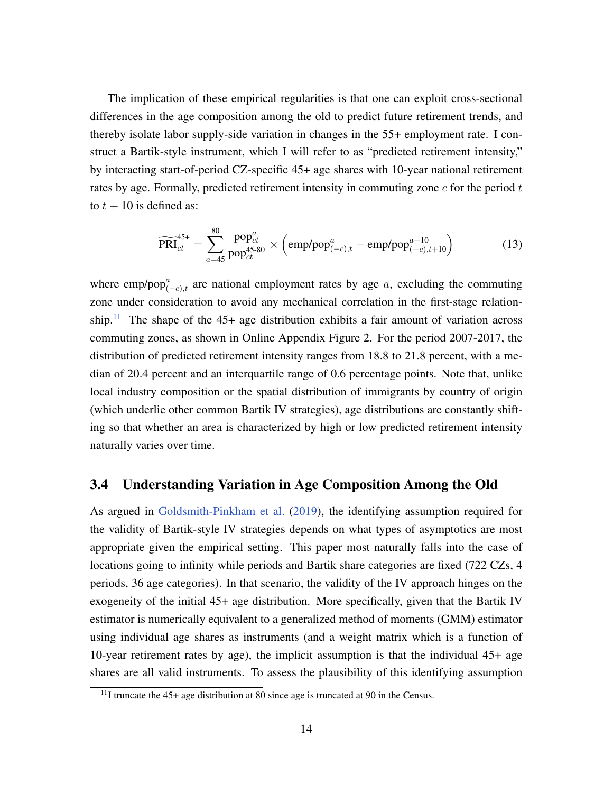The implication of these empirical regularities is that one can exploit cross-sectional differences in the age composition among the old to predict future retirement trends, and thereby isolate labor supply-side variation in changes in the 55+ employment rate. I construct a Bartik-style instrument, which I will refer to as "predicted retirement intensity," by interacting start-of-period CZ-specific 45+ age shares with 10-year national retirement rates by age. Formally, predicted retirement intensity in commuting zone  $c$  for the period  $t$ to  $t + 10$  is defined as:

<span id="page-13-1"></span>
$$
\widetilde{\text{PRI}}_{ct}^{45+} = \sum_{a=45}^{80} \frac{\text{pop}_{ct}^a}{\text{pop}_{ct}^{45\text{-}80}} \times \left(\text{emp/pop}_{(-c),t}^a - \text{emp/pop}_{(-c),t+10}^{a+10}\right) \tag{13}
$$

where emp/pop $_{(-c),t}^a$  are national employment rates by age a, excluding the commuting zone under consideration to avoid any mechanical correlation in the first-stage relation-ship.<sup>[11](#page-13-0)</sup> The shape of the 45+ age distribution exhibits a fair amount of variation across commuting zones, as shown in Online Appendix Figure 2. For the period 2007-2017, the distribution of predicted retirement intensity ranges from 18.8 to 21.8 percent, with a median of 20.4 percent and an interquartile range of 0.6 percentage points. Note that, unlike local industry composition or the spatial distribution of immigrants by country of origin (which underlie other common Bartik IV strategies), age distributions are constantly shifting so that whether an area is characterized by high or low predicted retirement intensity naturally varies over time.

### <span id="page-13-2"></span>3.4 Understanding Variation in Age Composition Among the Old

As argued in [Goldsmith-Pinkham et al.](#page-36-6) [\(2019\)](#page-36-6), the identifying assumption required for the validity of Bartik-style IV strategies depends on what types of asymptotics are most appropriate given the empirical setting. This paper most naturally falls into the case of locations going to infinity while periods and Bartik share categories are fixed (722 CZs, 4 periods, 36 age categories). In that scenario, the validity of the IV approach hinges on the exogeneity of the initial 45+ age distribution. More specifically, given that the Bartik IV estimator is numerically equivalent to a generalized method of moments (GMM) estimator using individual age shares as instruments (and a weight matrix which is a function of 10-year retirement rates by age), the implicit assumption is that the individual 45+ age shares are all valid instruments. To assess the plausibility of this identifying assumption

<span id="page-13-0"></span> $11$ I truncate the 45+ age distribution at 80 since age is truncated at 90 in the Census.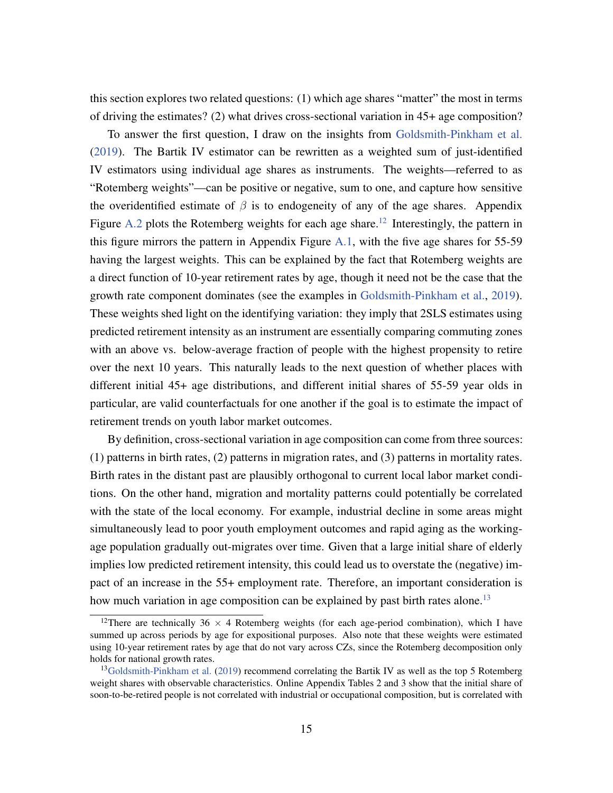this section explores two related questions: (1) which age shares "matter" the most in terms of driving the estimates? (2) what drives cross-sectional variation in 45+ age composition?

To answer the first question, I draw on the insights from [Goldsmith-Pinkham et al.](#page-36-6) [\(2019\)](#page-36-6). The Bartik IV estimator can be rewritten as a weighted sum of just-identified IV estimators using individual age shares as instruments. The weights—referred to as "Rotemberg weights"—can be positive or negative, sum to one, and capture how sensitive the overidentified estimate of  $\beta$  is to endogeneity of any of the age shares. Appendix Figure [A.2](#page-38-1) plots the Rotemberg weights for each age share.<sup>[12](#page-14-0)</sup> Interestingly, the pattern in this figure mirrors the pattern in Appendix Figure  $A.1$ , with the five age shares for 55-59 having the largest weights. This can be explained by the fact that Rotemberg weights are a direct function of 10-year retirement rates by age, though it need not be the case that the growth rate component dominates (see the examples in [Goldsmith-Pinkham et al.,](#page-36-6) [2019\)](#page-36-6). These weights shed light on the identifying variation: they imply that 2SLS estimates using predicted retirement intensity as an instrument are essentially comparing commuting zones with an above vs. below-average fraction of people with the highest propensity to retire over the next 10 years. This naturally leads to the next question of whether places with different initial 45+ age distributions, and different initial shares of 55-59 year olds in particular, are valid counterfactuals for one another if the goal is to estimate the impact of retirement trends on youth labor market outcomes.

By definition, cross-sectional variation in age composition can come from three sources: (1) patterns in birth rates, (2) patterns in migration rates, and (3) patterns in mortality rates. Birth rates in the distant past are plausibly orthogonal to current local labor market conditions. On the other hand, migration and mortality patterns could potentially be correlated with the state of the local economy. For example, industrial decline in some areas might simultaneously lead to poor youth employment outcomes and rapid aging as the workingage population gradually out-migrates over time. Given that a large initial share of elderly implies low predicted retirement intensity, this could lead us to overstate the (negative) impact of an increase in the 55+ employment rate. Therefore, an important consideration is how much variation in age composition can be explained by past birth rates alone.<sup>[13](#page-14-1)</sup>

<span id="page-14-0"></span><sup>&</sup>lt;sup>12</sup>There are technically 36  $\times$  4 Rotemberg weights (for each age-period combination), which I have summed up across periods by age for expositional purposes. Also note that these weights were estimated using 10-year retirement rates by age that do not vary across CZs, since the Rotemberg decomposition only holds for national growth rates.

<span id="page-14-1"></span><sup>&</sup>lt;sup>13</sup>[Goldsmith-Pinkham et al.](#page-36-6) [\(2019\)](#page-36-6) recommend correlating the Bartik IV as well as the top 5 Rotemberg weight shares with observable characteristics. Online Appendix Tables 2 and 3 show that the initial share of soon-to-be-retired people is not correlated with industrial or occupational composition, but is correlated with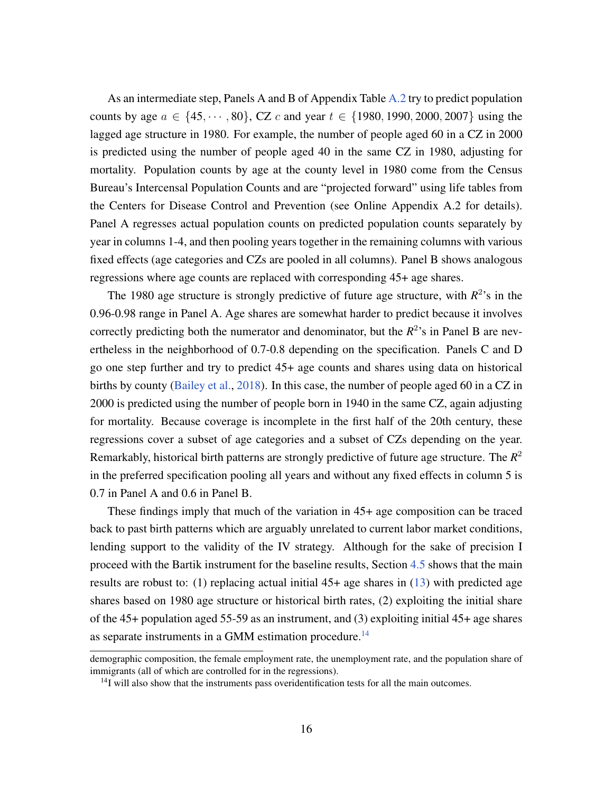As an intermediate step, Panels A and B of Appendix Table [A.2](#page-40-0) try to predict population counts by age  $a \in \{45, \dots, 80\}$ , CZ c and year  $t \in \{1980, 1990, 2000, 2007\}$  using the lagged age structure in 1980. For example, the number of people aged 60 in a CZ in 2000 is predicted using the number of people aged 40 in the same CZ in 1980, adjusting for mortality. Population counts by age at the county level in 1980 come from the Census Bureau's Intercensal Population Counts and are "projected forward" using life tables from the Centers for Disease Control and Prevention (see Online Appendix A.2 for details). Panel A regresses actual population counts on predicted population counts separately by year in columns 1-4, and then pooling years together in the remaining columns with various fixed effects (age categories and CZs are pooled in all columns). Panel B shows analogous regressions where age counts are replaced with corresponding 45+ age shares.

The 1980 age structure is strongly predictive of future age structure, with  $R^2$ 's in the 0.96-0.98 range in Panel A. Age shares are somewhat harder to predict because it involves correctly predicting both the numerator and denominator, but the  $R^2$ 's in Panel B are nevertheless in the neighborhood of 0.7-0.8 depending on the specification. Panels C and D go one step further and try to predict 45+ age counts and shares using data on historical births by county [\(Bailey et al.,](#page-34-9) [2018\)](#page-34-9). In this case, the number of people aged 60 in a CZ in 2000 is predicted using the number of people born in 1940 in the same CZ, again adjusting for mortality. Because coverage is incomplete in the first half of the 20th century, these regressions cover a subset of age categories and a subset of CZs depending on the year. Remarkably, historical birth patterns are strongly predictive of future age structure. The *R* 2 in the preferred specification pooling all years and without any fixed effects in column 5 is 0.7 in Panel A and 0.6 in Panel B.

These findings imply that much of the variation in 45+ age composition can be traced back to past birth patterns which are arguably unrelated to current labor market conditions, lending support to the validity of the IV strategy. Although for the sake of precision I proceed with the Bartik instrument for the baseline results, Section [4.5](#page-27-0) shows that the main results are robust to: (1) replacing actual initial 45+ age shares in [\(13\)](#page-13-1) with predicted age shares based on 1980 age structure or historical birth rates, (2) exploiting the initial share of the 45+ population aged 55-59 as an instrument, and (3) exploiting initial 45+ age shares as separate instruments in a GMM estimation procedure.<sup>[14](#page-15-0)</sup>

demographic composition, the female employment rate, the unemployment rate, and the population share of immigrants (all of which are controlled for in the regressions).

<span id="page-15-0"></span><sup>&</sup>lt;sup>14</sup>I will also show that the instruments pass overidentification tests for all the main outcomes.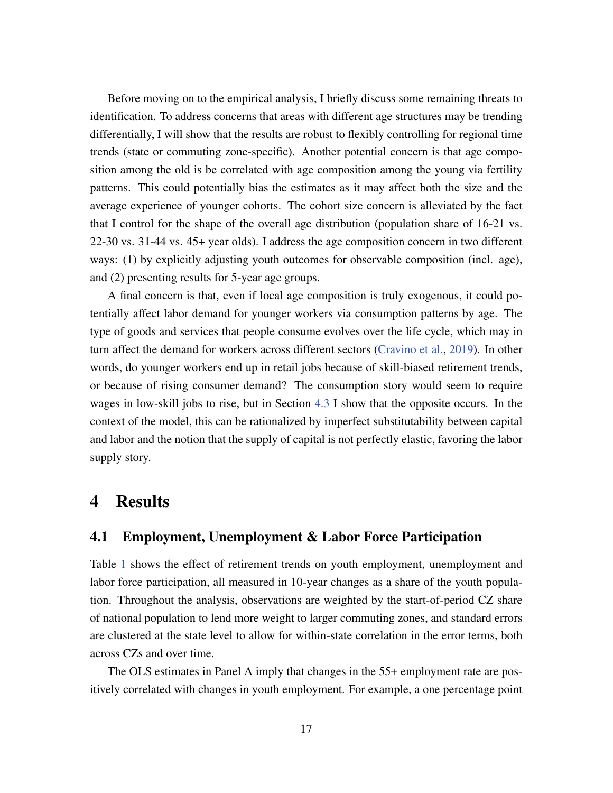Before moving on to the empirical analysis, I briefly discuss some remaining threats to identification. To address concerns that areas with different age structures may be trending differentially, I will show that the results are robust to flexibly controlling for regional time trends (state or commuting zone-specific). Another potential concern is that age composition among the old is be correlated with age composition among the young via fertility patterns. This could potentially bias the estimates as it may affect both the size and the average experience of younger cohorts. The cohort size concern is alleviated by the fact that I control for the shape of the overall age distribution (population share of 16-21 vs. 22-30 vs. 31-44 vs. 45+ year olds). I address the age composition concern in two different ways: (1) by explicitly adjusting youth outcomes for observable composition (incl. age), and (2) presenting results for 5-year age groups.

A final concern is that, even if local age composition is truly exogenous, it could potentially affect labor demand for younger workers via consumption patterns by age. The type of goods and services that people consume evolves over the life cycle, which may in turn affect the demand for workers across different sectors [\(Cravino et al.,](#page-35-9) [2019\)](#page-35-9). In other words, do younger workers end up in retail jobs because of skill-biased retirement trends, or because of rising consumer demand? The consumption story would seem to require wages in low-skill jobs to rise, but in Section [4.3](#page-23-0) I show that the opposite occurs. In the context of the model, this can be rationalized by imperfect substitutability between capital and labor and the notion that the supply of capital is not perfectly elastic, favoring the labor supply story.

## <span id="page-16-0"></span>4 Results

### 4.1 Employment, Unemployment & Labor Force Participation

Table [1](#page-17-0) shows the effect of retirement trends on youth employment, unemployment and labor force participation, all measured in 10-year changes as a share of the youth population. Throughout the analysis, observations are weighted by the start-of-period CZ share of national population to lend more weight to larger commuting zones, and standard errors are clustered at the state level to allow for within-state correlation in the error terms, both across CZs and over time.

The OLS estimates in Panel A imply that changes in the 55+ employment rate are positively correlated with changes in youth employment. For example, a one percentage point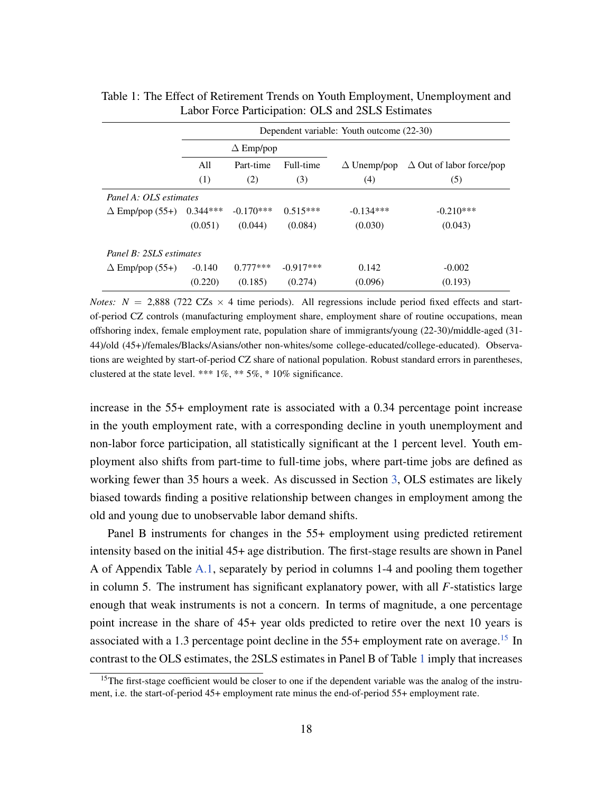|                         | Dependent variable: Youth outcome (22-30) |                  |             |                    |                                 |  |  |  |
|-------------------------|-------------------------------------------|------------------|-------------|--------------------|---------------------------------|--|--|--|
|                         |                                           | $\Delta$ Emp/pop |             |                    |                                 |  |  |  |
|                         | All                                       | Part-time        | Full-time   | $\Delta$ Unemp/pop | $\Delta$ Out of labor force/pop |  |  |  |
|                         | (1)                                       | (2)              | (3)         | (4)                | (5)                             |  |  |  |
| Panel A: OLS estimates  |                                           |                  |             |                    |                                 |  |  |  |
| $\Delta$ Emp/pop (55+)  | $0.344***$                                | $-0.170***$      | $0.515***$  | $-0.134***$        | $-0.210***$                     |  |  |  |
|                         | (0.051)                                   | (0.044)          | (0.084)     | (0.030)            | (0.043)                         |  |  |  |
| Panel B: 2SLS estimates |                                           |                  |             |                    |                                 |  |  |  |
| $\Delta$ Emp/pop (55+)  | $-0.140$                                  | $0.777***$       | $-0.917***$ | 0.142              | $-0.002$                        |  |  |  |
|                         | (0.220)                                   | (0.185)          | (0.274)     | (0.096)            | (0.193)                         |  |  |  |

<span id="page-17-0"></span>Table 1: The Effect of Retirement Trends on Youth Employment, Unemployment and Labor Force Participation: OLS and 2SLS Estimates

*Notes:*  $N = 2,888$  (722 CZs  $\times$  4 time periods). All regressions include period fixed effects and startof-period CZ controls (manufacturing employment share, employment share of routine occupations, mean offshoring index, female employment rate, population share of immigrants/young (22-30)/middle-aged (31- 44)/old (45+)/females/Blacks/Asians/other non-whites/some college-educated/college-educated). Observations are weighted by start-of-period CZ share of national population. Robust standard errors in parentheses, clustered at the state level. \*\*\* 1%, \*\* 5%, \* 10% significance.

increase in the 55+ employment rate is associated with a 0.34 percentage point increase in the youth employment rate, with a corresponding decline in youth unemployment and non-labor force participation, all statistically significant at the 1 percent level. Youth employment also shifts from part-time to full-time jobs, where part-time jobs are defined as working fewer than 35 hours a week. As discussed in Section [3,](#page-10-0) OLS estimates are likely biased towards finding a positive relationship between changes in employment among the old and young due to unobservable labor demand shifts.

Panel B instruments for changes in the 55+ employment using predicted retirement intensity based on the initial 45+ age distribution. The first-stage results are shown in Panel A of Appendix Table [A.1,](#page-39-0) separately by period in columns 1-4 and pooling them together in column 5. The instrument has significant explanatory power, with all *F*-statistics large enough that weak instruments is not a concern. In terms of magnitude, a one percentage point increase in the share of 45+ year olds predicted to retire over the next 10 years is associated with a 1.3 percentage point decline in the  $55+$  employment rate on average.<sup>[15](#page-17-1)</sup> In contrast to the OLS estimates, the 2SLS estimates in Panel B of Table [1](#page-17-0) imply that increases

<span id="page-17-1"></span><sup>&</sup>lt;sup>15</sup>The first-stage coefficient would be closer to one if the dependent variable was the analog of the instrument, i.e. the start-of-period 45+ employment rate minus the end-of-period 55+ employment rate.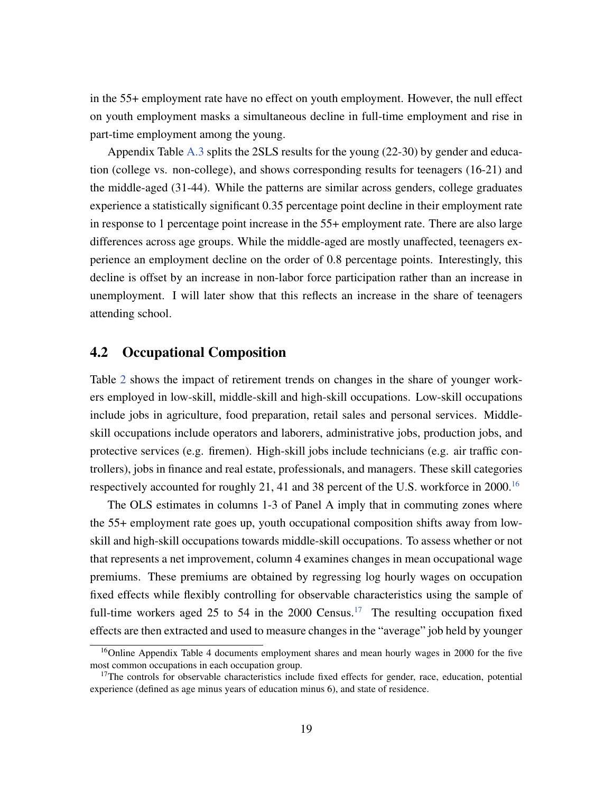in the 55+ employment rate have no effect on youth employment. However, the null effect on youth employment masks a simultaneous decline in full-time employment and rise in part-time employment among the young.

Appendix Table [A.3](#page-41-0) splits the 2SLS results for the young (22-30) by gender and education (college vs. non-college), and shows corresponding results for teenagers (16-21) and the middle-aged (31-44). While the patterns are similar across genders, college graduates experience a statistically significant 0.35 percentage point decline in their employment rate in response to 1 percentage point increase in the 55+ employment rate. There are also large differences across age groups. While the middle-aged are mostly unaffected, teenagers experience an employment decline on the order of 0.8 percentage points. Interestingly, this decline is offset by an increase in non-labor force participation rather than an increase in unemployment. I will later show that this reflects an increase in the share of teenagers attending school.

### 4.2 Occupational Composition

Table [2](#page-19-0) shows the impact of retirement trends on changes in the share of younger workers employed in low-skill, middle-skill and high-skill occupations. Low-skill occupations include jobs in agriculture, food preparation, retail sales and personal services. Middleskill occupations include operators and laborers, administrative jobs, production jobs, and protective services (e.g. firemen). High-skill jobs include technicians (e.g. air traffic controllers), jobs in finance and real estate, professionals, and managers. These skill categories respectively accounted for roughly 21, 41 and 38 percent of the U.S. workforce in  $2000$ .<sup>[16](#page-18-0)</sup>

The OLS estimates in columns 1-3 of Panel A imply that in commuting zones where the 55+ employment rate goes up, youth occupational composition shifts away from lowskill and high-skill occupations towards middle-skill occupations. To assess whether or not that represents a net improvement, column 4 examines changes in mean occupational wage premiums. These premiums are obtained by regressing log hourly wages on occupation fixed effects while flexibly controlling for observable characteristics using the sample of full-time workers aged 25 to 54 in the 2000 Census.<sup>[17](#page-18-1)</sup> The resulting occupation fixed effects are then extracted and used to measure changes in the "average" job held by younger

<span id="page-18-0"></span><sup>&</sup>lt;sup>16</sup>Online Appendix Table 4 documents employment shares and mean hourly wages in 2000 for the five most common occupations in each occupation group.

<span id="page-18-1"></span> $17$ The controls for observable characteristics include fixed effects for gender, race, education, potential experience (defined as age minus years of education minus 6), and state of residence.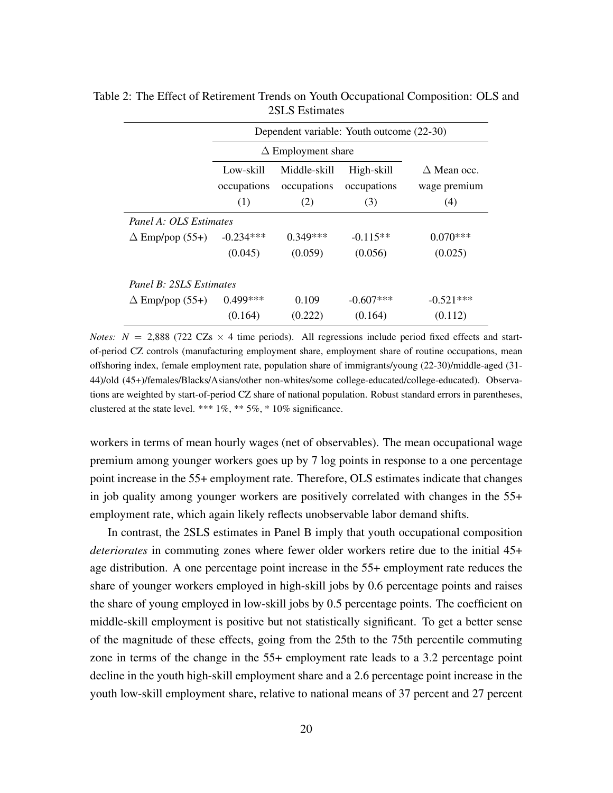|                         | Dependent variable: Youth outcome (22-30) |                             |                           |                                    |  |  |  |  |
|-------------------------|-------------------------------------------|-----------------------------|---------------------------|------------------------------------|--|--|--|--|
|                         |                                           | $\Delta$ Employment share   |                           |                                    |  |  |  |  |
|                         | Low-skill<br>occupations                  | Middle-skill<br>occupations | High-skill<br>occupations | $\wedge$ Mean occ.<br>wage premium |  |  |  |  |
|                         | (1)                                       | (2)                         | (3)                       | (4)                                |  |  |  |  |
| Panel A: OLS Estimates  |                                           |                             |                           |                                    |  |  |  |  |
| $\Delta$ Emp/pop (55+)  | $-0.234***$                               | $0.349***$                  | $-0.115**$                | $0.070***$                         |  |  |  |  |
|                         | (0.045)                                   | (0.059)                     | (0.056)                   | (0.025)                            |  |  |  |  |
| Panel B: 2SLS Estimates |                                           |                             |                           |                                    |  |  |  |  |
| $\Delta$ Emp/pop (55+)  | $0.499***$                                | 0.109                       | $-0.607***$               | $-0.521***$                        |  |  |  |  |
|                         | (0.164)                                   | (0.222)                     | (0.164)                   | (0.112)                            |  |  |  |  |

<span id="page-19-0"></span>Table 2: The Effect of Retirement Trends on Youth Occupational Composition: OLS and 2SLS Estimates

*Notes:*  $N = 2,888$  (722 CZs  $\times$  4 time periods). All regressions include period fixed effects and startof-period CZ controls (manufacturing employment share, employment share of routine occupations, mean offshoring index, female employment rate, population share of immigrants/young (22-30)/middle-aged (31- 44)/old (45+)/females/Blacks/Asians/other non-whites/some college-educated/college-educated). Observations are weighted by start-of-period CZ share of national population. Robust standard errors in parentheses, clustered at the state level. \*\*\*  $1\%$ , \*\*  $5\%$ , \*  $10\%$  significance.

workers in terms of mean hourly wages (net of observables). The mean occupational wage premium among younger workers goes up by 7 log points in response to a one percentage point increase in the 55+ employment rate. Therefore, OLS estimates indicate that changes in job quality among younger workers are positively correlated with changes in the 55+ employment rate, which again likely reflects unobservable labor demand shifts.

In contrast, the 2SLS estimates in Panel B imply that youth occupational composition *deteriorates* in commuting zones where fewer older workers retire due to the initial 45+ age distribution. A one percentage point increase in the 55+ employment rate reduces the share of younger workers employed in high-skill jobs by 0.6 percentage points and raises the share of young employed in low-skill jobs by 0.5 percentage points. The coefficient on middle-skill employment is positive but not statistically significant. To get a better sense of the magnitude of these effects, going from the 25th to the 75th percentile commuting zone in terms of the change in the 55+ employment rate leads to a 3.2 percentage point decline in the youth high-skill employment share and a 2.6 percentage point increase in the youth low-skill employment share, relative to national means of 37 percent and 27 percent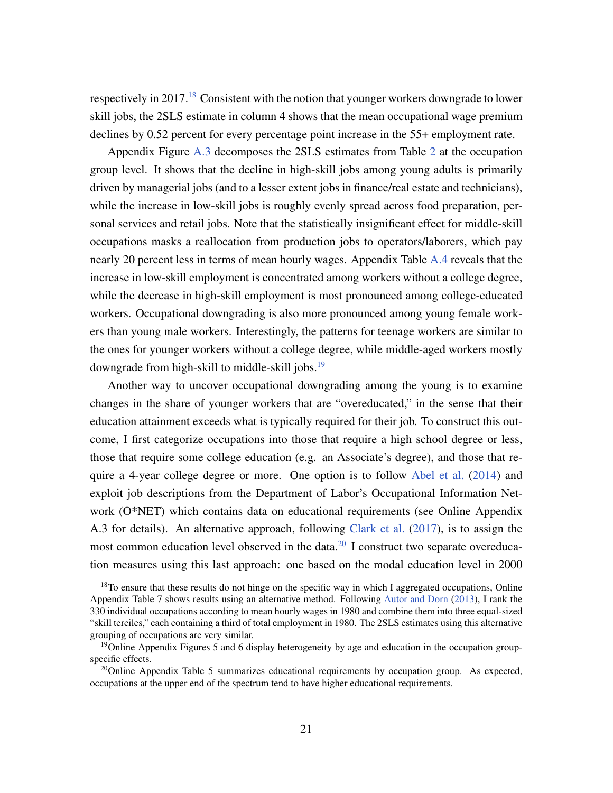respectively in 2017.<sup>[18](#page-20-0)</sup> Consistent with the notion that younger workers downgrade to lower skill jobs, the 2SLS estimate in column 4 shows that the mean occupational wage premium declines by 0.52 percent for every percentage point increase in the 55+ employment rate.

Appendix Figure [A.3](#page-39-1) decomposes the 2SLS estimates from Table [2](#page-19-0) at the occupation group level. It shows that the decline in high-skill jobs among young adults is primarily driven by managerial jobs (and to a lesser extent jobs in finance/real estate and technicians), while the increase in low-skill jobs is roughly evenly spread across food preparation, personal services and retail jobs. Note that the statistically insignificant effect for middle-skill occupations masks a reallocation from production jobs to operators/laborers, which pay nearly 20 percent less in terms of mean hourly wages. Appendix Table [A.4](#page-42-0) reveals that the increase in low-skill employment is concentrated among workers without a college degree, while the decrease in high-skill employment is most pronounced among college-educated workers. Occupational downgrading is also more pronounced among young female workers than young male workers. Interestingly, the patterns for teenage workers are similar to the ones for younger workers without a college degree, while middle-aged workers mostly downgrade from high-skill to middle-skill jobs.<sup>[19](#page-20-1)</sup>

Another way to uncover occupational downgrading among the young is to examine changes in the share of younger workers that are "overeducated," in the sense that their education attainment exceeds what is typically required for their job. To construct this outcome, I first categorize occupations into those that require a high school degree or less, those that require some college education (e.g. an Associate's degree), and those that require a 4-year college degree or more. One option is to follow [Abel et al.](#page-34-1) [\(2014\)](#page-34-1) and exploit job descriptions from the Department of Labor's Occupational Information Network (O\*NET) which contains data on educational requirements (see Online Appendix A.3 for details). An alternative approach, following [Clark et al.](#page-35-10) [\(2017\)](#page-35-10), is to assign the most common education level observed in the data.<sup>[20](#page-20-2)</sup> I construct two separate overeducation measures using this last approach: one based on the modal education level in 2000

<span id="page-20-0"></span> $18$ To ensure that these results do not hinge on the specific way in which I aggregated occupations, Online Appendix Table 7 shows results using an alternative method. Following [Autor and Dorn](#page-34-8) [\(2013\)](#page-34-8), I rank the 330 individual occupations according to mean hourly wages in 1980 and combine them into three equal-sized "skill terciles," each containing a third of total employment in 1980. The 2SLS estimates using this alternative grouping of occupations are very similar.

<span id="page-20-1"></span><sup>&</sup>lt;sup>19</sup>Online Appendix Figures 5 and 6 display heterogeneity by age and education in the occupation groupspecific effects.

<span id="page-20-2"></span> $20$ Online Appendix Table 5 summarizes educational requirements by occupation group. As expected, occupations at the upper end of the spectrum tend to have higher educational requirements.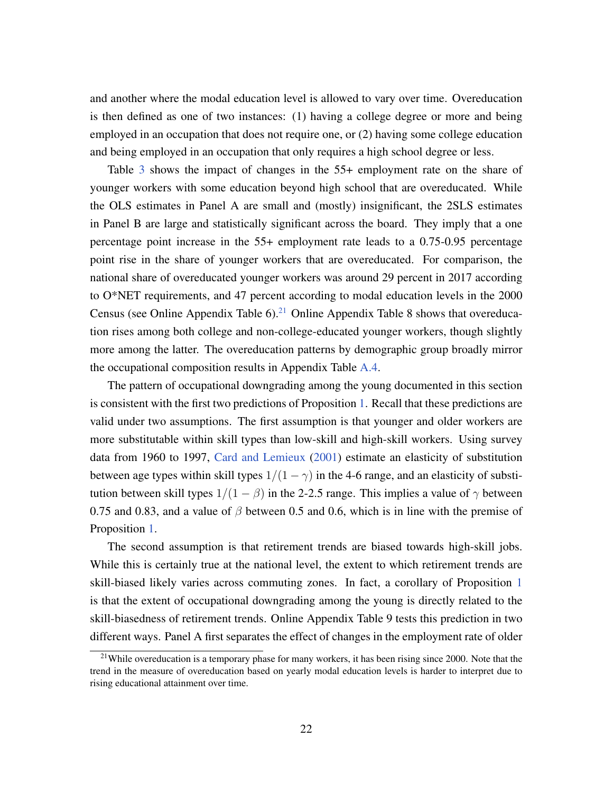and another where the modal education level is allowed to vary over time. Overeducation is then defined as one of two instances: (1) having a college degree or more and being employed in an occupation that does not require one, or (2) having some college education and being employed in an occupation that only requires a high school degree or less.

Table [3](#page-22-0) shows the impact of changes in the 55+ employment rate on the share of younger workers with some education beyond high school that are overeducated. While the OLS estimates in Panel A are small and (mostly) insignificant, the 2SLS estimates in Panel B are large and statistically significant across the board. They imply that a one percentage point increase in the 55+ employment rate leads to a 0.75-0.95 percentage point rise in the share of younger workers that are overeducated. For comparison, the national share of overeducated younger workers was around 29 percent in 2017 according to O\*NET requirements, and 47 percent according to modal education levels in the 2000 Census (see Online Appendix Table 6).<sup>[21](#page-21-0)</sup> Online Appendix Table 8 shows that overeducation rises among both college and non-college-educated younger workers, though slightly more among the latter. The overeducation patterns by demographic group broadly mirror the occupational composition results in Appendix Table [A.4.](#page-42-0)

The pattern of occupational downgrading among the young documented in this section is consistent with the first two predictions of Proposition [1.](#page-9-1) Recall that these predictions are valid under two assumptions. The first assumption is that younger and older workers are more substitutable within skill types than low-skill and high-skill workers. Using survey data from 1960 to 1997, [Card and Lemieux](#page-35-4) [\(2001\)](#page-35-4) estimate an elasticity of substitution between age types within skill types  $1/(1 - \gamma)$  in the 4-6 range, and an elasticity of substitution between skill types  $1/(1 - \beta)$  in the 2-2.5 range. This implies a value of  $\gamma$  between 0.75 and 0.83, and a value of  $\beta$  between 0.5 and 0.6, which is in line with the premise of Proposition [1.](#page-9-1)

The second assumption is that retirement trends are biased towards high-skill jobs. While this is certainly true at the national level, the extent to which retirement trends are skill-biased likely varies across commuting zones. In fact, a corollary of Proposition [1](#page-9-1) is that the extent of occupational downgrading among the young is directly related to the skill-biasedness of retirement trends. Online Appendix Table 9 tests this prediction in two different ways. Panel A first separates the effect of changes in the employment rate of older

<span id="page-21-0"></span><sup>&</sup>lt;sup>21</sup>While overeducation is a temporary phase for many workers, it has been rising since 2000. Note that the trend in the measure of overeducation based on yearly modal education levels is harder to interpret due to rising educational attainment over time.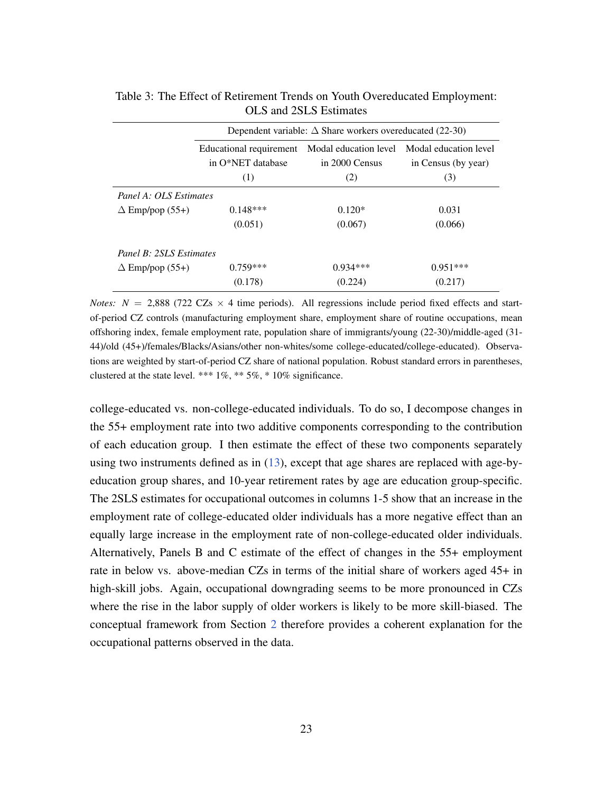|                         | Dependent variable: $\Delta$ Share workers overeducated (22-30) |                       |                       |  |  |  |  |
|-------------------------|-----------------------------------------------------------------|-----------------------|-----------------------|--|--|--|--|
|                         | Educational requirement                                         | Modal education level | Modal education level |  |  |  |  |
|                         | in O*NET database                                               | in 2000 Census        | in Census (by year)   |  |  |  |  |
|                         | (1)                                                             | (2)                   | (3)                   |  |  |  |  |
| Panel A: OLS Estimates  |                                                                 |                       |                       |  |  |  |  |
| $\Delta$ Emp/pop (55+)  | $0.148***$                                                      | $0.120*$              | 0.031                 |  |  |  |  |
|                         | (0.051)                                                         | (0.067)               | (0.066)               |  |  |  |  |
| Panel B: 2SLS Estimates |                                                                 |                       |                       |  |  |  |  |
| $\Delta$ Emp/pop (55+)  | $0.759***$                                                      | $0.934***$            | $0.951***$            |  |  |  |  |
|                         | (0.178)                                                         | (0.224)               | (0.217)               |  |  |  |  |

<span id="page-22-0"></span>Table 3: The Effect of Retirement Trends on Youth Overeducated Employment: OLS and 2SLS Estimates

*Notes:*  $N = 2,888$  (722 CZs  $\times$  4 time periods). All regressions include period fixed effects and startof-period CZ controls (manufacturing employment share, employment share of routine occupations, mean offshoring index, female employment rate, population share of immigrants/young (22-30)/middle-aged (31- 44)/old (45+)/females/Blacks/Asians/other non-whites/some college-educated/college-educated). Observations are weighted by start-of-period CZ share of national population. Robust standard errors in parentheses, clustered at the state level. \*\*\*  $1\%$ , \*\*  $5\%$ , \*  $10\%$  significance.

college-educated vs. non-college-educated individuals. To do so, I decompose changes in the 55+ employment rate into two additive components corresponding to the contribution of each education group. I then estimate the effect of these two components separately using two instruments defined as in  $(13)$ , except that age shares are replaced with age-byeducation group shares, and 10-year retirement rates by age are education group-specific. The 2SLS estimates for occupational outcomes in columns 1-5 show that an increase in the employment rate of college-educated older individuals has a more negative effect than an equally large increase in the employment rate of non-college-educated older individuals. Alternatively, Panels B and C estimate of the effect of changes in the 55+ employment rate in below vs. above-median CZs in terms of the initial share of workers aged 45+ in high-skill jobs. Again, occupational downgrading seems to be more pronounced in CZs where the rise in the labor supply of older workers is likely to be more skill-biased. The conceptual framework from Section [2](#page-5-0) therefore provides a coherent explanation for the occupational patterns observed in the data.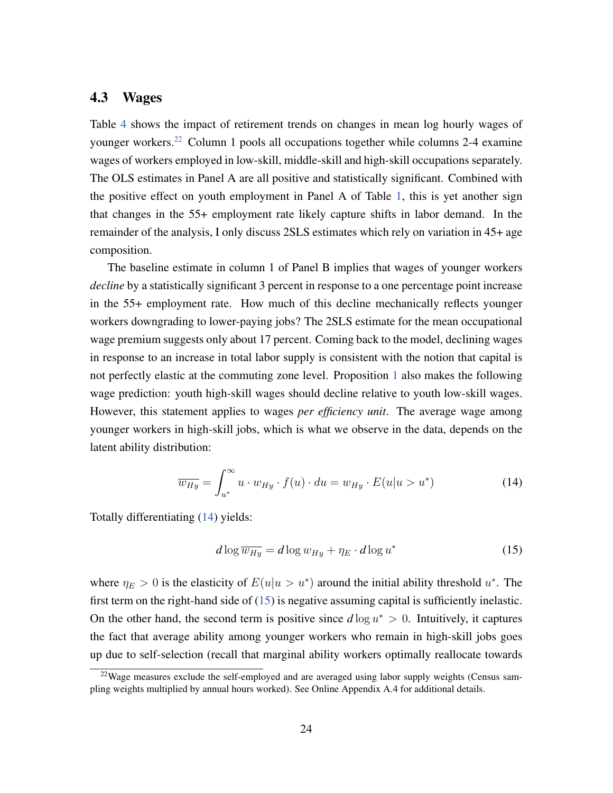### <span id="page-23-0"></span>4.3 Wages

Table [4](#page-24-0) shows the impact of retirement trends on changes in mean log hourly wages of younger workers.<sup>[22](#page-23-1)</sup> Column 1 pools all occupations together while columns 2-4 examine wages of workers employed in low-skill, middle-skill and high-skill occupations separately. The OLS estimates in Panel A are all positive and statistically significant. Combined with the positive effect on youth employment in Panel A of Table [1,](#page-17-0) this is yet another sign that changes in the 55+ employment rate likely capture shifts in labor demand. In the remainder of the analysis, I only discuss 2SLS estimates which rely on variation in 45+ age composition.

The baseline estimate in column 1 of Panel B implies that wages of younger workers *decline* by a statistically significant 3 percent in response to a one percentage point increase in the 55+ employment rate. How much of this decline mechanically reflects younger workers downgrading to lower-paying jobs? The 2SLS estimate for the mean occupational wage premium suggests only about 17 percent. Coming back to the model, declining wages in response to an increase in total labor supply is consistent with the notion that capital is not perfectly elastic at the commuting zone level. Proposition [1](#page-9-1) also makes the following wage prediction: youth high-skill wages should decline relative to youth low-skill wages. However, this statement applies to wages *per efficiency unit*. The average wage among younger workers in high-skill jobs, which is what we observe in the data, depends on the latent ability distribution:

$$
\overline{w_{Hy}} = \int_{u^*}^{\infty} u \cdot w_{Hy} \cdot f(u) \cdot du = w_{Hy} \cdot E(u|u > u^*)
$$
\n(14)

Totally differentiating [\(14\)](#page-23-2) yields:

<span id="page-23-3"></span><span id="page-23-2"></span>
$$
d\log \overline{w_{Hy}} = d\log w_{Hy} + \eta_E \cdot d\log u^* \tag{15}
$$

where  $\eta_E > 0$  is the elasticity of  $E(u|u > u^*)$  around the initial ability threshold  $u^*$ . The first term on the right-hand side of [\(15\)](#page-23-3) is negative assuming capital is sufficiently inelastic. On the other hand, the second term is positive since  $d \log u^* > 0$ . Intuitively, it captures the fact that average ability among younger workers who remain in high-skill jobs goes up due to self-selection (recall that marginal ability workers optimally reallocate towards

<span id="page-23-1"></span> $22$ Wage measures exclude the self-employed and are averaged using labor supply weights (Census sampling weights multiplied by annual hours worked). See Online Appendix A.4 for additional details.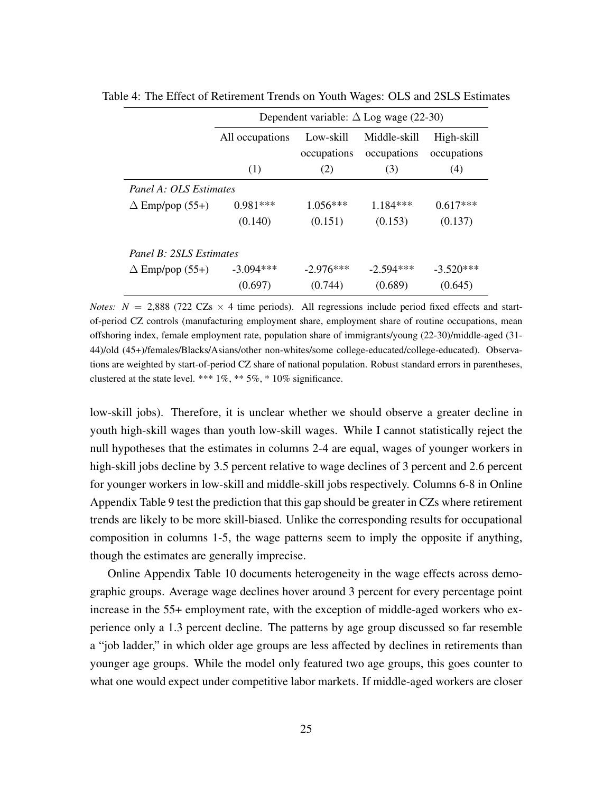|                         | Dependent variable: $\Delta$ Log wage (22-30) |                          |                             |                           |  |  |  |
|-------------------------|-----------------------------------------------|--------------------------|-----------------------------|---------------------------|--|--|--|
|                         | All occupations                               | Low-skill<br>occupations | Middle-skill<br>occupations | High-skill<br>occupations |  |  |  |
|                         | (1)                                           | (2)                      | (3)                         | (4)                       |  |  |  |
| Panel A: OLS Estimates  |                                               |                          |                             |                           |  |  |  |
| $\Delta$ Emp/pop (55+)  | $0.981***$                                    | $1.056***$               | $1.184***$                  | $0.617***$                |  |  |  |
|                         | (0.140)                                       | (0.151)                  | (0.153)                     | (0.137)                   |  |  |  |
| Panel B: 2SLS Estimates |                                               |                          |                             |                           |  |  |  |
| $\Delta$ Emp/pop (55+)  | $-3.094***$                                   | $-2.976***$              | $-2.594***$                 | $-3.520***$               |  |  |  |
|                         | (0.697)                                       | (0.744)                  | (0.689)                     | (0.645)                   |  |  |  |

<span id="page-24-0"></span>Table 4: The Effect of Retirement Trends on Youth Wages: OLS and 2SLS Estimates

*Notes:*  $N = 2,888$  (722 CZs  $\times$  4 time periods). All regressions include period fixed effects and startof-period CZ controls (manufacturing employment share, employment share of routine occupations, mean offshoring index, female employment rate, population share of immigrants/young (22-30)/middle-aged (31- 44)/old (45+)/females/Blacks/Asians/other non-whites/some college-educated/college-educated). Observations are weighted by start-of-period CZ share of national population. Robust standard errors in parentheses, clustered at the state level. \*\*\*  $1\%$ , \*\*  $5\%$ , \*  $10\%$  significance.

low-skill jobs). Therefore, it is unclear whether we should observe a greater decline in youth high-skill wages than youth low-skill wages. While I cannot statistically reject the null hypotheses that the estimates in columns 2-4 are equal, wages of younger workers in high-skill jobs decline by 3.5 percent relative to wage declines of 3 percent and 2.6 percent for younger workers in low-skill and middle-skill jobs respectively. Columns 6-8 in Online Appendix Table 9 test the prediction that this gap should be greater in CZs where retirement trends are likely to be more skill-biased. Unlike the corresponding results for occupational composition in columns 1-5, the wage patterns seem to imply the opposite if anything, though the estimates are generally imprecise.

Online Appendix Table 10 documents heterogeneity in the wage effects across demographic groups. Average wage declines hover around 3 percent for every percentage point increase in the 55+ employment rate, with the exception of middle-aged workers who experience only a 1.3 percent decline. The patterns by age group discussed so far resemble a "job ladder," in which older age groups are less affected by declines in retirements than younger age groups. While the model only featured two age groups, this goes counter to what one would expect under competitive labor markets. If middle-aged workers are closer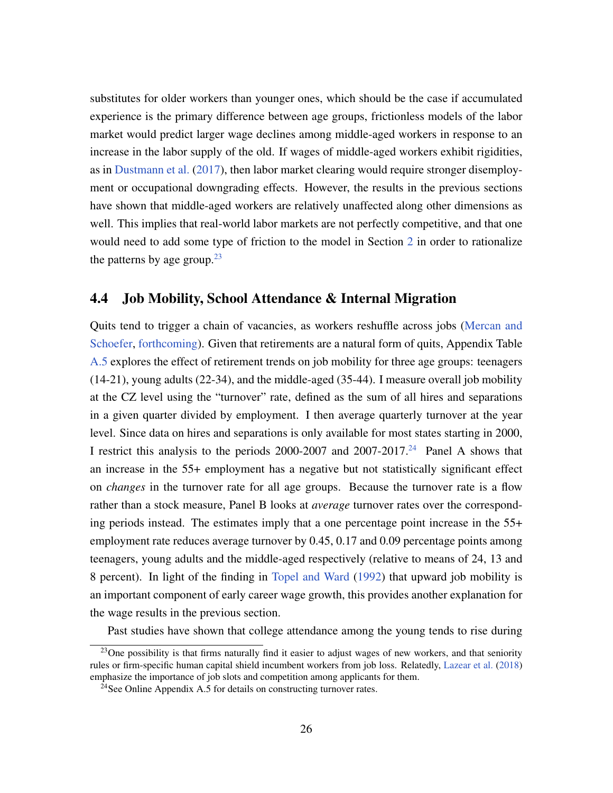substitutes for older workers than younger ones, which should be the case if accumulated experience is the primary difference between age groups, frictionless models of the labor market would predict larger wage declines among middle-aged workers in response to an increase in the labor supply of the old. If wages of middle-aged workers exhibit rigidities, as in [Dustmann et al.](#page-35-5) [\(2017\)](#page-35-5), then labor market clearing would require stronger disemployment or occupational downgrading effects. However, the results in the previous sections have shown that middle-aged workers are relatively unaffected along other dimensions as well. This implies that real-world labor markets are not perfectly competitive, and that one would need to add some type of friction to the model in Section [2](#page-5-0) in order to rationalize the patterns by age group. $23$ 

#### 4.4 Job Mobility, School Attendance & Internal Migration

Quits tend to trigger a chain of vacancies, as workers reshuffle across jobs [\(Mercan and](#page-36-7) [Schoefer,](#page-36-7) [forthcoming\)](#page-36-7). Given that retirements are a natural form of quits, Appendix Table [A.5](#page-43-0) explores the effect of retirement trends on job mobility for three age groups: teenagers (14-21), young adults (22-34), and the middle-aged (35-44). I measure overall job mobility at the CZ level using the "turnover" rate, defined as the sum of all hires and separations in a given quarter divided by employment. I then average quarterly turnover at the year level. Since data on hires and separations is only available for most states starting in 2000, I restrict this analysis to the periods  $2000-2007$  and  $2007-2017<sup>24</sup>$  $2007-2017<sup>24</sup>$  $2007-2017<sup>24</sup>$  Panel A shows that an increase in the 55+ employment has a negative but not statistically significant effect on *changes* in the turnover rate for all age groups. Because the turnover rate is a flow rather than a stock measure, Panel B looks at *average* turnover rates over the corresponding periods instead. The estimates imply that a one percentage point increase in the 55+ employment rate reduces average turnover by 0.45, 0.17 and 0.09 percentage points among teenagers, young adults and the middle-aged respectively (relative to means of 24, 13 and 8 percent). In light of the finding in [Topel and Ward](#page-37-2) [\(1992\)](#page-37-2) that upward job mobility is an important component of early career wage growth, this provides another explanation for the wage results in the previous section.

Past studies have shown that college attendance among the young tends to rise during

<span id="page-25-0"></span><sup>&</sup>lt;sup>23</sup>One possibility is that firms naturally find it easier to adjust wages of new workers, and that seniority rules or firm-specific human capital shield incumbent workers from job loss. Relatedly, [Lazear et al.](#page-36-8) [\(2018\)](#page-36-8) emphasize the importance of job slots and competition among applicants for them.

<span id="page-25-1"></span> $24$ See Online Appendix A.5 for details on constructing turnover rates.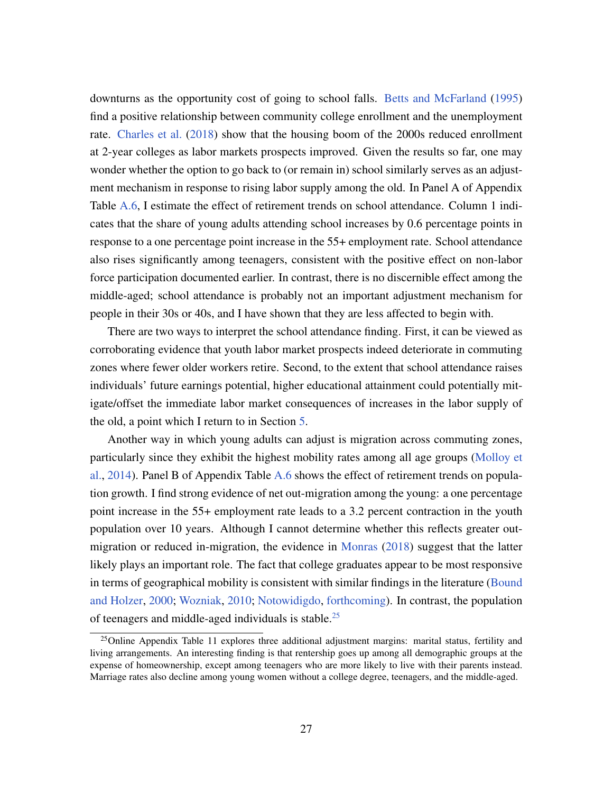downturns as the opportunity cost of going to school falls. [Betts and McFarland](#page-34-10) [\(1995\)](#page-34-10) find a positive relationship between community college enrollment and the unemployment rate. [Charles et al.](#page-35-11) [\(2018\)](#page-35-11) show that the housing boom of the 2000s reduced enrollment at 2-year colleges as labor markets prospects improved. Given the results so far, one may wonder whether the option to go back to (or remain in) school similarly serves as an adjustment mechanism in response to rising labor supply among the old. In Panel A of Appendix Table [A.6,](#page-43-1) I estimate the effect of retirement trends on school attendance. Column 1 indicates that the share of young adults attending school increases by 0.6 percentage points in response to a one percentage point increase in the 55+ employment rate. School attendance also rises significantly among teenagers, consistent with the positive effect on non-labor force participation documented earlier. In contrast, there is no discernible effect among the middle-aged; school attendance is probably not an important adjustment mechanism for people in their 30s or 40s, and I have shown that they are less affected to begin with.

There are two ways to interpret the school attendance finding. First, it can be viewed as corroborating evidence that youth labor market prospects indeed deteriorate in commuting zones where fewer older workers retire. Second, to the extent that school attendance raises individuals' future earnings potential, higher educational attainment could potentially mitigate/offset the immediate labor market consequences of increases in the labor supply of the old, a point which I return to in Section [5.](#page-30-0)

Another way in which young adults can adjust is migration across commuting zones, particularly since they exhibit the highest mobility rates among all age groups [\(Molloy et](#page-36-9) [al.,](#page-36-9) [2014\)](#page-36-9). Panel B of Appendix Table [A.6](#page-43-1) shows the effect of retirement trends on population growth. I find strong evidence of net out-migration among the young: a one percentage point increase in the 55+ employment rate leads to a 3.2 percent contraction in the youth population over 10 years. Although I cannot determine whether this reflects greater outmigration or reduced in-migration, the evidence in [Monras](#page-36-10) [\(2018\)](#page-36-10) suggest that the latter likely plays an important role. The fact that college graduates appear to be most responsive in terms of geographical mobility is consistent with similar findings in the literature [\(Bound](#page-35-12) [and Holzer,](#page-35-12) [2000;](#page-35-12) [Wozniak,](#page-37-3) [2010;](#page-37-3) [Notowidigdo,](#page-37-4) [forthcoming\)](#page-37-4). In contrast, the population of teenagers and middle-aged individuals is stable.[25](#page-26-0)

<span id="page-26-0"></span> $25$ Online Appendix Table 11 explores three additional adjustment margins: marital status, fertility and living arrangements. An interesting finding is that rentership goes up among all demographic groups at the expense of homeownership, except among teenagers who are more likely to live with their parents instead. Marriage rates also decline among young women without a college degree, teenagers, and the middle-aged.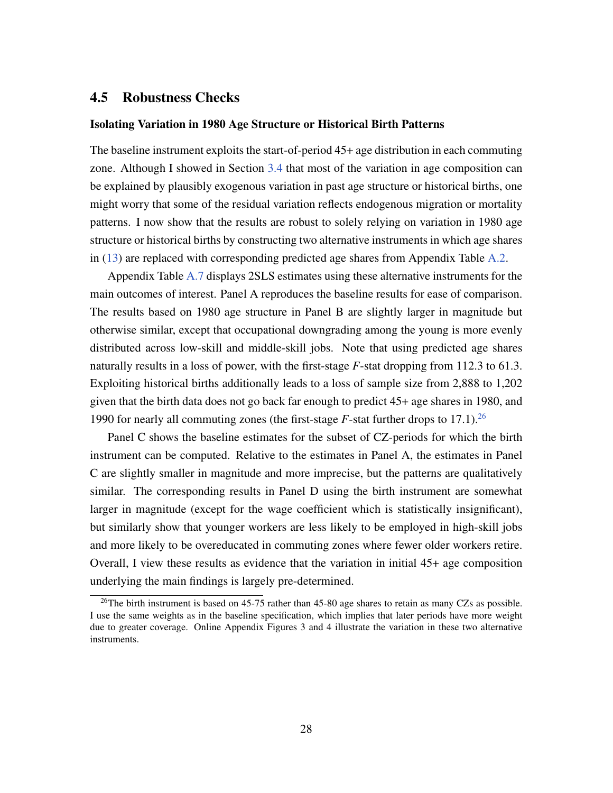#### <span id="page-27-0"></span>4.5 Robustness Checks

#### Isolating Variation in 1980 Age Structure or Historical Birth Patterns

The baseline instrument exploits the start-of-period 45+ age distribution in each commuting zone. Although I showed in Section [3.4](#page-13-2) that most of the variation in age composition can be explained by plausibly exogenous variation in past age structure or historical births, one might worry that some of the residual variation reflects endogenous migration or mortality patterns. I now show that the results are robust to solely relying on variation in 1980 age structure or historical births by constructing two alternative instruments in which age shares in [\(13\)](#page-13-1) are replaced with corresponding predicted age shares from Appendix Table [A.2.](#page-40-0)

Appendix Table [A.7](#page-44-0) displays 2SLS estimates using these alternative instruments for the main outcomes of interest. Panel A reproduces the baseline results for ease of comparison. The results based on 1980 age structure in Panel B are slightly larger in magnitude but otherwise similar, except that occupational downgrading among the young is more evenly distributed across low-skill and middle-skill jobs. Note that using predicted age shares naturally results in a loss of power, with the first-stage *F*-stat dropping from 112.3 to 61.3. Exploiting historical births additionally leads to a loss of sample size from 2,888 to 1,202 given that the birth data does not go back far enough to predict 45+ age shares in 1980, and 1990 for nearly all commuting zones (the first-stage  $F$ -stat further drops to 17.1).<sup>[26](#page-27-1)</sup>

Panel C shows the baseline estimates for the subset of CZ-periods for which the birth instrument can be computed. Relative to the estimates in Panel A, the estimates in Panel C are slightly smaller in magnitude and more imprecise, but the patterns are qualitatively similar. The corresponding results in Panel D using the birth instrument are somewhat larger in magnitude (except for the wage coefficient which is statistically insignificant), but similarly show that younger workers are less likely to be employed in high-skill jobs and more likely to be overeducated in commuting zones where fewer older workers retire. Overall, I view these results as evidence that the variation in initial 45+ age composition underlying the main findings is largely pre-determined.

<span id="page-27-1"></span><sup>&</sup>lt;sup>26</sup>The birth instrument is based on 45-75 rather than 45-80 age shares to retain as many CZs as possible. I use the same weights as in the baseline specification, which implies that later periods have more weight due to greater coverage. Online Appendix Figures 3 and 4 illustrate the variation in these two alternative instruments.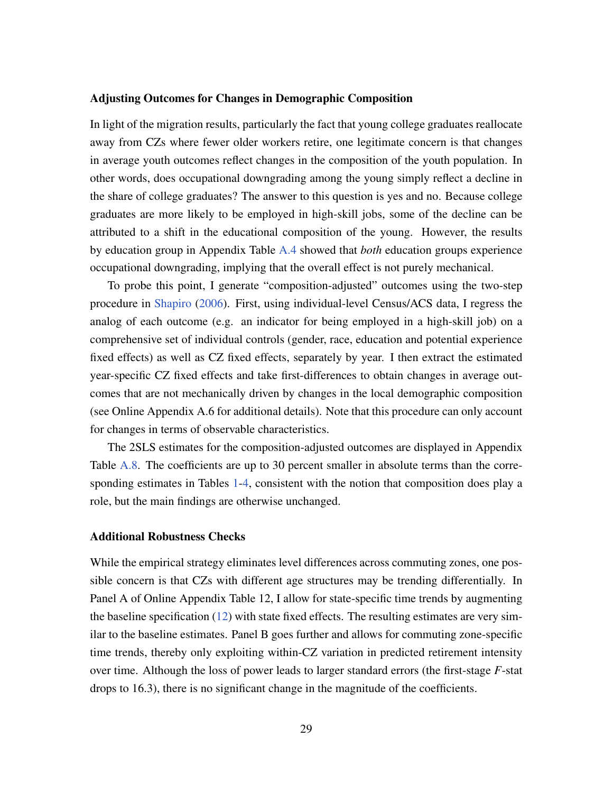#### Adjusting Outcomes for Changes in Demographic Composition

In light of the migration results, particularly the fact that young college graduates reallocate away from CZs where fewer older workers retire, one legitimate concern is that changes in average youth outcomes reflect changes in the composition of the youth population. In other words, does occupational downgrading among the young simply reflect a decline in the share of college graduates? The answer to this question is yes and no. Because college graduates are more likely to be employed in high-skill jobs, some of the decline can be attributed to a shift in the educational composition of the young. However, the results by education group in Appendix Table [A.4](#page-42-0) showed that *both* education groups experience occupational downgrading, implying that the overall effect is not purely mechanical.

To probe this point, I generate "composition-adjusted" outcomes using the two-step procedure in [Shapiro](#page-37-5) [\(2006\)](#page-37-5). First, using individual-level Census/ACS data, I regress the analog of each outcome (e.g. an indicator for being employed in a high-skill job) on a comprehensive set of individual controls (gender, race, education and potential experience fixed effects) as well as CZ fixed effects, separately by year. I then extract the estimated year-specific CZ fixed effects and take first-differences to obtain changes in average outcomes that are not mechanically driven by changes in the local demographic composition (see Online Appendix A.6 for additional details). Note that this procedure can only account for changes in terms of observable characteristics.

The 2SLS estimates for the composition-adjusted outcomes are displayed in Appendix Table [A.8.](#page-45-0) The coefficients are up to 30 percent smaller in absolute terms than the corresponding estimates in Tables [1](#page-17-0)[-4,](#page-24-0) consistent with the notion that composition does play a role, but the main findings are otherwise unchanged.

#### Additional Robustness Checks

While the empirical strategy eliminates level differences across commuting zones, one possible concern is that CZs with different age structures may be trending differentially. In Panel A of Online Appendix Table 12, I allow for state-specific time trends by augmenting the baseline specification  $(12)$  with state fixed effects. The resulting estimates are very similar to the baseline estimates. Panel B goes further and allows for commuting zone-specific time trends, thereby only exploiting within-CZ variation in predicted retirement intensity over time. Although the loss of power leads to larger standard errors (the first-stage *F*-stat drops to 16.3), there is no significant change in the magnitude of the coefficients.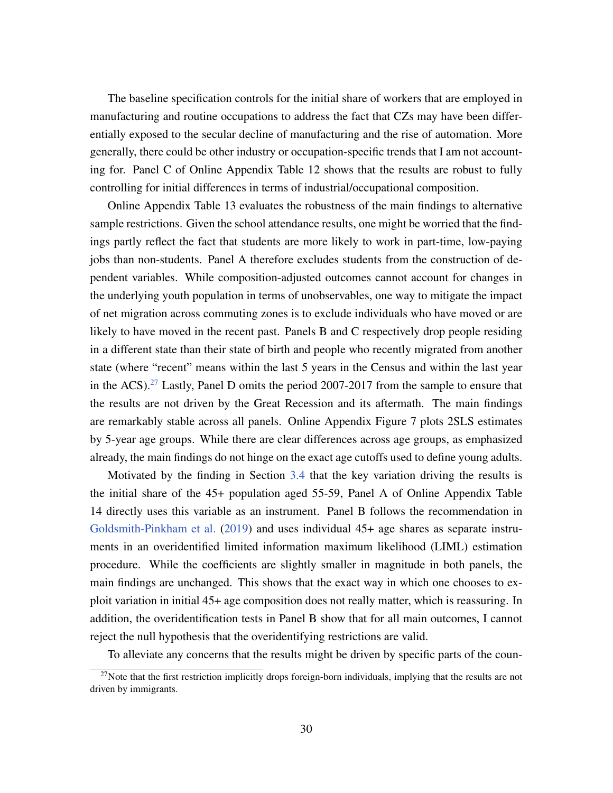The baseline specification controls for the initial share of workers that are employed in manufacturing and routine occupations to address the fact that CZs may have been differentially exposed to the secular decline of manufacturing and the rise of automation. More generally, there could be other industry or occupation-specific trends that I am not accounting for. Panel C of Online Appendix Table 12 shows that the results are robust to fully controlling for initial differences in terms of industrial/occupational composition.

Online Appendix Table 13 evaluates the robustness of the main findings to alternative sample restrictions. Given the school attendance results, one might be worried that the findings partly reflect the fact that students are more likely to work in part-time, low-paying jobs than non-students. Panel A therefore excludes students from the construction of dependent variables. While composition-adjusted outcomes cannot account for changes in the underlying youth population in terms of unobservables, one way to mitigate the impact of net migration across commuting zones is to exclude individuals who have moved or are likely to have moved in the recent past. Panels B and C respectively drop people residing in a different state than their state of birth and people who recently migrated from another state (where "recent" means within the last 5 years in the Census and within the last year in the ACS).[27](#page-29-0) Lastly, Panel D omits the period 2007-2017 from the sample to ensure that the results are not driven by the Great Recession and its aftermath. The main findings are remarkably stable across all panels. Online Appendix Figure 7 plots 2SLS estimates by 5-year age groups. While there are clear differences across age groups, as emphasized already, the main findings do not hinge on the exact age cutoffs used to define young adults.

Motivated by the finding in Section [3.4](#page-13-2) that the key variation driving the results is the initial share of the 45+ population aged 55-59, Panel A of Online Appendix Table 14 directly uses this variable as an instrument. Panel B follows the recommendation in [Goldsmith-Pinkham et al.](#page-36-6) [\(2019\)](#page-36-6) and uses individual 45+ age shares as separate instruments in an overidentified limited information maximum likelihood (LIML) estimation procedure. While the coefficients are slightly smaller in magnitude in both panels, the main findings are unchanged. This shows that the exact way in which one chooses to exploit variation in initial 45+ age composition does not really matter, which is reassuring. In addition, the overidentification tests in Panel B show that for all main outcomes, I cannot reject the null hypothesis that the overidentifying restrictions are valid.

To alleviate any concerns that the results might be driven by specific parts of the coun-

<span id="page-29-0"></span> $^{27}$ Note that the first restriction implicitly drops foreign-born individuals, implying that the results are not driven by immigrants.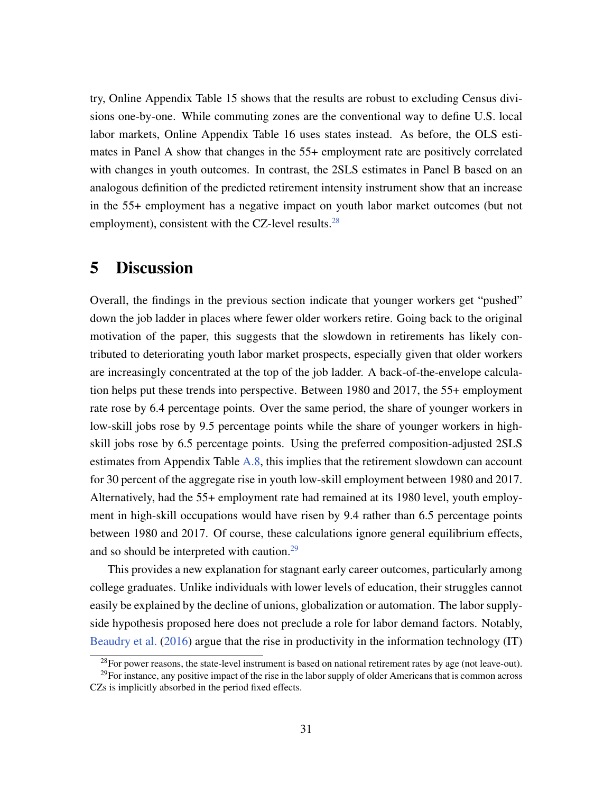try, Online Appendix Table 15 shows that the results are robust to excluding Census divisions one-by-one. While commuting zones are the conventional way to define U.S. local labor markets, Online Appendix Table 16 uses states instead. As before, the OLS estimates in Panel A show that changes in the 55+ employment rate are positively correlated with changes in youth outcomes. In contrast, the 2SLS estimates in Panel B based on an analogous definition of the predicted retirement intensity instrument show that an increase in the 55+ employment has a negative impact on youth labor market outcomes (but not employment), consistent with the CZ-level results. $^{28}$  $^{28}$  $^{28}$ 

## <span id="page-30-0"></span>5 Discussion

Overall, the findings in the previous section indicate that younger workers get "pushed" down the job ladder in places where fewer older workers retire. Going back to the original motivation of the paper, this suggests that the slowdown in retirements has likely contributed to deteriorating youth labor market prospects, especially given that older workers are increasingly concentrated at the top of the job ladder. A back-of-the-envelope calculation helps put these trends into perspective. Between 1980 and 2017, the 55+ employment rate rose by 6.4 percentage points. Over the same period, the share of younger workers in low-skill jobs rose by 9.5 percentage points while the share of younger workers in highskill jobs rose by 6.5 percentage points. Using the preferred composition-adjusted 2SLS estimates from Appendix Table [A.8,](#page-45-0) this implies that the retirement slowdown can account for 30 percent of the aggregate rise in youth low-skill employment between 1980 and 2017. Alternatively, had the 55+ employment rate had remained at its 1980 level, youth employment in high-skill occupations would have risen by 9.4 rather than 6.5 percentage points between 1980 and 2017. Of course, these calculations ignore general equilibrium effects, and so should be interpreted with caution.<sup>[29](#page-30-2)</sup>

This provides a new explanation for stagnant early career outcomes, particularly among college graduates. Unlike individuals with lower levels of education, their struggles cannot easily be explained by the decline of unions, globalization or automation. The labor supplyside hypothesis proposed here does not preclude a role for labor demand factors. Notably, [Beaudry et al.](#page-34-5) [\(2016\)](#page-34-5) argue that the rise in productivity in the information technology (IT)

<span id="page-30-2"></span><span id="page-30-1"></span><sup>&</sup>lt;sup>28</sup>For power reasons, the state-level instrument is based on national retirement rates by age (not leave-out).

 $29$ For instance, any positive impact of the rise in the labor supply of older Americans that is common across CZs is implicitly absorbed in the period fixed effects.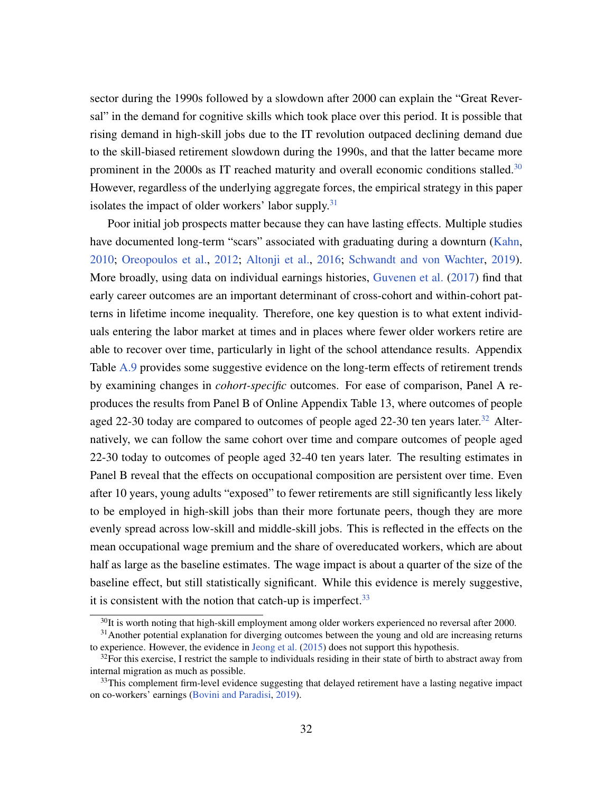sector during the 1990s followed by a slowdown after 2000 can explain the "Great Reversal" in the demand for cognitive skills which took place over this period. It is possible that rising demand in high-skill jobs due to the IT revolution outpaced declining demand due to the skill-biased retirement slowdown during the 1990s, and that the latter became more prominent in the 2000s as IT reached maturity and overall economic conditions stalled.<sup>[30](#page-31-0)</sup> However, regardless of the underlying aggregate forces, the empirical strategy in this paper isolates the impact of older workers' labor supply. $31$ 

Poor initial job prospects matter because they can have lasting effects. Multiple studies have documented long-term "scars" associated with graduating during a downturn [\(Kahn,](#page-36-11) [2010;](#page-36-11) [Oreopoulos et al.,](#page-37-6) [2012;](#page-37-6) [Altonji et al.,](#page-34-11) [2016;](#page-34-11) [Schwandt and von Wachter,](#page-37-7) [2019\)](#page-37-7). More broadly, using data on individual earnings histories, [Guvenen et al.](#page-36-12) [\(2017\)](#page-36-12) find that early career outcomes are an important determinant of cross-cohort and within-cohort patterns in lifetime income inequality. Therefore, one key question is to what extent individuals entering the labor market at times and in places where fewer older workers retire are able to recover over time, particularly in light of the school attendance results. Appendix Table [A.9](#page-45-1) provides some suggestive evidence on the long-term effects of retirement trends by examining changes in *cohort-specific* outcomes. For ease of comparison, Panel A reproduces the results from Panel B of Online Appendix Table 13, where outcomes of people aged 22-30 today are compared to outcomes of people aged 22-30 ten years later.<sup>[32](#page-31-2)</sup> Alternatively, we can follow the same cohort over time and compare outcomes of people aged 22-30 today to outcomes of people aged 32-40 ten years later. The resulting estimates in Panel B reveal that the effects on occupational composition are persistent over time. Even after 10 years, young adults "exposed" to fewer retirements are still significantly less likely to be employed in high-skill jobs than their more fortunate peers, though they are more evenly spread across low-skill and middle-skill jobs. This is reflected in the effects on the mean occupational wage premium and the share of overeducated workers, which are about half as large as the baseline estimates. The wage impact is about a quarter of the size of the baseline effect, but still statistically significant. While this evidence is merely suggestive, it is consistent with the notion that catch-up is imperfect.  $33$ 

<span id="page-31-1"></span><span id="page-31-0"></span> $30$ It is worth noting that high-skill employment among older workers experienced no reversal after 2000.

<sup>&</sup>lt;sup>31</sup> Another potential explanation for diverging outcomes between the young and old are increasing returns to experience. However, the evidence in [Jeong et al.](#page-36-13) [\(2015\)](#page-36-13) does not support this hypothesis.

<span id="page-31-2"></span> $32$ For this exercise, I restrict the sample to individuals residing in their state of birth to abstract away from internal migration as much as possible.

<span id="page-31-3"></span><sup>&</sup>lt;sup>33</sup>This complement firm-level evidence suggesting that delayed retirement have a lasting negative impact on co-workers' earnings [\(Bovini and Paradisi,](#page-35-3) [2019\)](#page-35-3).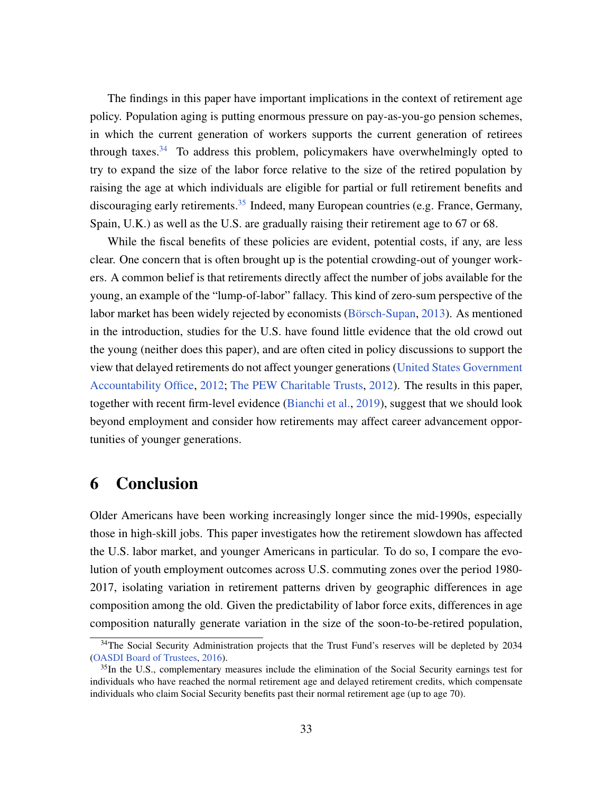The findings in this paper have important implications in the context of retirement age policy. Population aging is putting enormous pressure on pay-as-you-go pension schemes, in which the current generation of workers supports the current generation of retirees through taxes.<sup>[34](#page-32-0)</sup> To address this problem, policymakers have overwhelmingly opted to try to expand the size of the labor force relative to the size of the retired population by raising the age at which individuals are eligible for partial or full retirement benefits and discouraging early retirements.<sup>[35](#page-32-1)</sup> Indeed, many European countries (e.g. France, Germany, Spain, U.K.) as well as the U.S. are gradually raising their retirement age to 67 or 68.

While the fiscal benefits of these policies are evident, potential costs, if any, are less clear. One concern that is often brought up is the potential crowding-out of younger workers. A common belief is that retirements directly affect the number of jobs available for the young, an example of the "lump-of-labor" fallacy. This kind of zero-sum perspective of the labor market has been widely rejected by economists (Börsch-Supan, [2013\)](#page-34-12). As mentioned in the introduction, studies for the U.S. have found little evidence that the old crowd out the young (neither does this paper), and are often cited in policy discussions to support the view that delayed retirements do not affect younger generations [\(United States Government](#page-37-8) [Accountability Office,](#page-37-8) [2012;](#page-37-8) [The PEW Charitable Trusts,](#page-37-9) [2012\)](#page-37-9). The results in this paper, together with recent firm-level evidence [\(Bianchi et al.,](#page-34-3) [2019\)](#page-34-3), suggest that we should look beyond employment and consider how retirements may affect career advancement opportunities of younger generations.

## 6 Conclusion

Older Americans have been working increasingly longer since the mid-1990s, especially those in high-skill jobs. This paper investigates how the retirement slowdown has affected the U.S. labor market, and younger Americans in particular. To do so, I compare the evolution of youth employment outcomes across U.S. commuting zones over the period 1980- 2017, isolating variation in retirement patterns driven by geographic differences in age composition among the old. Given the predictability of labor force exits, differences in age composition naturally generate variation in the size of the soon-to-be-retired population,

<span id="page-32-0"></span><sup>&</sup>lt;sup>34</sup>The Social Security Administration projects that the Trust Fund's reserves will be depleted by 2034 [\(OASDI Board of Trustees,](#page-37-10) [2016\)](#page-37-10).

<span id="page-32-1"></span><sup>&</sup>lt;sup>35</sup>In the U.S., complementary measures include the elimination of the Social Security earnings test for individuals who have reached the normal retirement age and delayed retirement credits, which compensate individuals who claim Social Security benefits past their normal retirement age (up to age 70).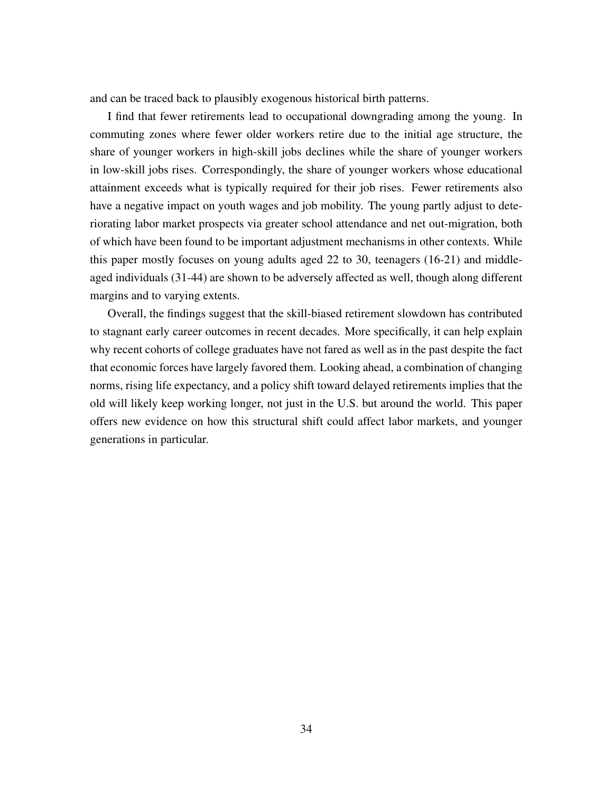and can be traced back to plausibly exogenous historical birth patterns.

I find that fewer retirements lead to occupational downgrading among the young. In commuting zones where fewer older workers retire due to the initial age structure, the share of younger workers in high-skill jobs declines while the share of younger workers in low-skill jobs rises. Correspondingly, the share of younger workers whose educational attainment exceeds what is typically required for their job rises. Fewer retirements also have a negative impact on youth wages and job mobility. The young partly adjust to deteriorating labor market prospects via greater school attendance and net out-migration, both of which have been found to be important adjustment mechanisms in other contexts. While this paper mostly focuses on young adults aged 22 to 30, teenagers (16-21) and middleaged individuals (31-44) are shown to be adversely affected as well, though along different margins and to varying extents.

Overall, the findings suggest that the skill-biased retirement slowdown has contributed to stagnant early career outcomes in recent decades. More specifically, it can help explain why recent cohorts of college graduates have not fared as well as in the past despite the fact that economic forces have largely favored them. Looking ahead, a combination of changing norms, rising life expectancy, and a policy shift toward delayed retirements implies that the old will likely keep working longer, not just in the U.S. but around the world. This paper offers new evidence on how this structural shift could affect labor markets, and younger generations in particular.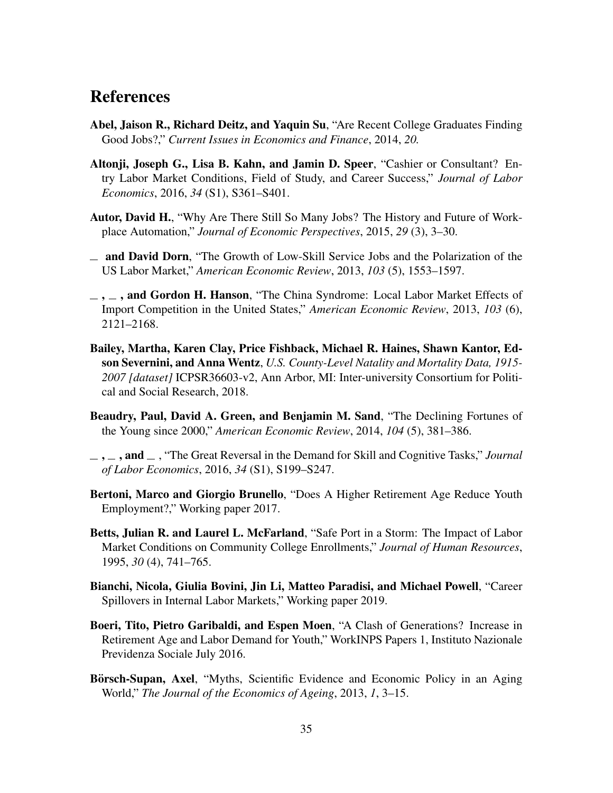## References

- <span id="page-34-1"></span>Abel, Jaison R., Richard Deitz, and Yaquin Su, "Are Recent College Graduates Finding Good Jobs?," *Current Issues in Economics and Finance*, 2014, *20.*
- <span id="page-34-11"></span>Altonji, Joseph G., Lisa B. Kahn, and Jamin D. Speer, "Cashier or Consultant? Entry Labor Market Conditions, Field of Study, and Career Success," *Journal of Labor Economics*, 2016, *34* (S1), S361–S401.
- <span id="page-34-6"></span>Autor, David H., "Why Are There Still So Many Jobs? The History and Future of Workplace Automation," *Journal of Economic Perspectives*, 2015, *29* (3), 3–30.
- <span id="page-34-8"></span>and David Dorn, "The Growth of Low-Skill Service Jobs and the Polarization of the US Labor Market," *American Economic Review*, 2013, *103* (5), 1553–1597.
- <span id="page-34-7"></span> $\ldots$ , and Gordon H. Hanson, "The China Syndrome: Local Labor Market Effects of Import Competition in the United States," *American Economic Review*, 2013, *103* (6), 2121–2168.
- <span id="page-34-9"></span>Bailey, Martha, Karen Clay, Price Fishback, Michael R. Haines, Shawn Kantor, Edson Severnini, and Anna Wentz, *U.S. County-Level Natality and Mortality Data, 1915- 2007 [dataset]* ICPSR36603-v2, Ann Arbor, MI: Inter-university Consortium for Political and Social Research, 2018.
- <span id="page-34-0"></span>Beaudry, Paul, David A. Green, and Benjamin M. Sand, "The Declining Fortunes of the Young since 2000," *American Economic Review*, 2014, *104* (5), 381–386.
- <span id="page-34-5"></span> $, \ldots$ , and  $\ldots$ , "The Great Reversal in the Demand for Skill and Cognitive Tasks," *Journal of Labor Economics*, 2016, *34* (S1), S199–S247.
- <span id="page-34-4"></span>Bertoni, Marco and Giorgio Brunello, "Does A Higher Retirement Age Reduce Youth Employment?," Working paper 2017.
- <span id="page-34-10"></span>Betts, Julian R. and Laurel L. McFarland, "Safe Port in a Storm: The Impact of Labor Market Conditions on Community College Enrollments," *Journal of Human Resources*, 1995, *30* (4), 741–765.
- <span id="page-34-3"></span>Bianchi, Nicola, Giulia Bovini, Jin Li, Matteo Paradisi, and Michael Powell, "Career Spillovers in Internal Labor Markets," Working paper 2019.
- <span id="page-34-2"></span>Boeri, Tito, Pietro Garibaldi, and Espen Moen, "A Clash of Generations? Increase in Retirement Age and Labor Demand for Youth," WorkINPS Papers 1, Instituto Nazionale Previdenza Sociale July 2016.
- <span id="page-34-12"></span>Börsch-Supan, Axel, "Myths, Scientific Evidence and Economic Policy in an Aging World," *The Journal of the Economics of Ageing*, 2013, *1*, 3–15.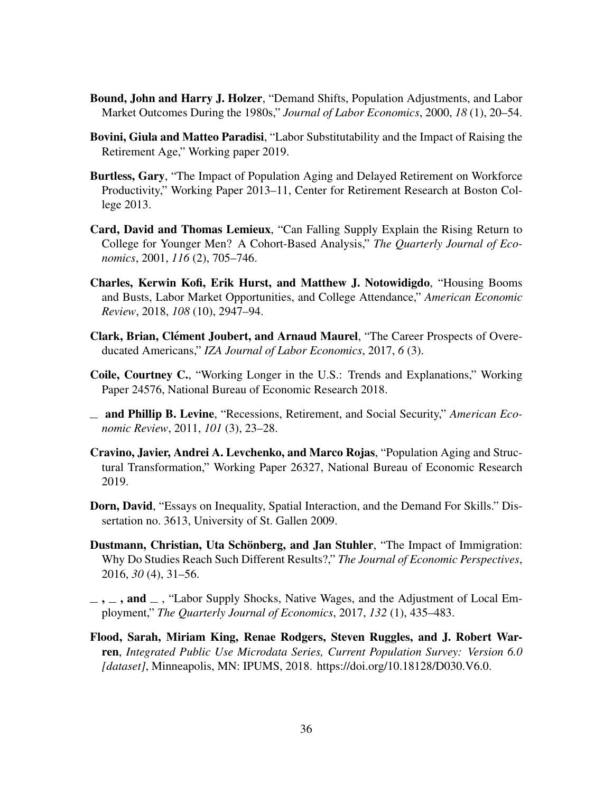- <span id="page-35-12"></span>Bound, John and Harry J. Holzer, "Demand Shifts, Population Adjustments, and Labor Market Outcomes During the 1980s," *Journal of Labor Economics*, 2000, *18* (1), 20–54.
- <span id="page-35-3"></span>Bovini, Giula and Matteo Paradisi, "Labor Substitutability and the Impact of Raising the Retirement Age," Working paper 2019.
- <span id="page-35-1"></span>Burtless, Gary, "The Impact of Population Aging and Delayed Retirement on Workforce Productivity," Working Paper 2013–11, Center for Retirement Research at Boston College 2013.
- <span id="page-35-4"></span>Card, David and Thomas Lemieux, "Can Falling Supply Explain the Rising Return to College for Younger Men? A Cohort-Based Analysis," *The Quarterly Journal of Economics*, 2001, *116* (2), 705–746.
- <span id="page-35-11"></span>Charles, Kerwin Kofi, Erik Hurst, and Matthew J. Notowidigdo, "Housing Booms and Busts, Labor Market Opportunities, and College Attendance," *American Economic Review*, 2018, *108* (10), 2947–94.
- <span id="page-35-10"></span>Clark, Brian, Clément Joubert, and Arnaud Maurel, "The Career Prospects of Overeducated Americans," *IZA Journal of Labor Economics*, 2017, *6* (3).
- <span id="page-35-0"></span>Coile, Courtney C., "Working Longer in the U.S.: Trends and Explanations," Working Paper 24576, National Bureau of Economic Research 2018.
- <span id="page-35-8"></span>and Phillip B. Levine, "Recessions, Retirement, and Social Security," *American Economic Review*, 2011, *101* (3), 23–28.
- <span id="page-35-9"></span>Cravino, Javier, Andrei A. Levchenko, and Marco Rojas, "Population Aging and Structural Transformation," Working Paper 26327, National Bureau of Economic Research 2019.
- <span id="page-35-6"></span>Dorn, David, "Essays on Inequality, Spatial Interaction, and the Demand For Skills." Dissertation no. 3613, University of St. Gallen 2009.
- <span id="page-35-7"></span>Dustmann, Christian, Uta Schönberg, and Jan Stuhler, "The Impact of Immigration: Why Do Studies Reach Such Different Results?," *The Journal of Economic Perspectives*, 2016, *30* (4), 31–56.
- <span id="page-35-5"></span> $\mu =$ ,  $\mu =$ , and  $\mu$ , "Labor Supply Shocks, Native Wages, and the Adjustment of Local Employment," *The Quarterly Journal of Economics*, 2017, *132* (1), 435–483.
- <span id="page-35-2"></span>Flood, Sarah, Miriam King, Renae Rodgers, Steven Ruggles, and J. Robert Warren, *Integrated Public Use Microdata Series, Current Population Survey: Version 6.0 [dataset]*, Minneapolis, MN: IPUMS, 2018. https://doi.org/10.18128/D030.V6.0.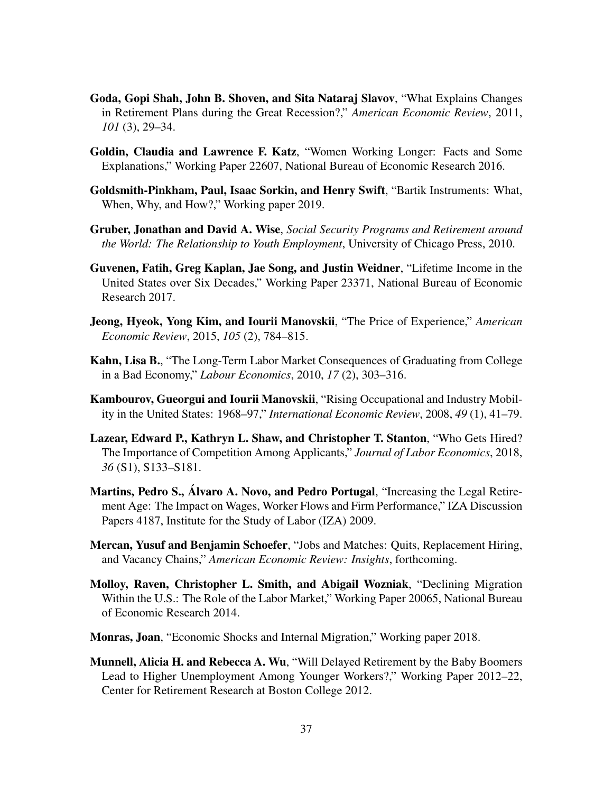- <span id="page-36-5"></span>Goda, Gopi Shah, John B. Shoven, and Sita Nataraj Slavov, "What Explains Changes in Retirement Plans during the Great Recession?," *American Economic Review*, 2011, *101* (3), 29–34.
- <span id="page-36-0"></span>Goldin, Claudia and Lawrence F. Katz, "Women Working Longer: Facts and Some Explanations," Working Paper 22607, National Bureau of Economic Research 2016.
- <span id="page-36-6"></span>Goldsmith-Pinkham, Paul, Isaac Sorkin, and Henry Swift, "Bartik Instruments: What, When, Why, and How?," Working paper 2019.
- <span id="page-36-1"></span>Gruber, Jonathan and David A. Wise, *Social Security Programs and Retirement around the World: The Relationship to Youth Employment*, University of Chicago Press, 2010.
- <span id="page-36-12"></span>Guvenen, Fatih, Greg Kaplan, Jae Song, and Justin Weidner, "Lifetime Income in the United States over Six Decades," Working Paper 23371, National Bureau of Economic Research 2017.
- <span id="page-36-13"></span>Jeong, Hyeok, Yong Kim, and Iourii Manovskii, "The Price of Experience," *American Economic Review*, 2015, *105* (2), 784–815.
- <span id="page-36-11"></span>Kahn, Lisa B., "The Long-Term Labor Market Consequences of Graduating from College in a Bad Economy," *Labour Economics*, 2010, *17* (2), 303–316.
- <span id="page-36-4"></span>Kambourov, Gueorgui and Iourii Manovskii, "Rising Occupational and Industry Mobility in the United States: 1968–97," *International Economic Review*, 2008, *49* (1), 41–79.
- <span id="page-36-8"></span>Lazear, Edward P., Kathryn L. Shaw, and Christopher T. Stanton, "Who Gets Hired? The Importance of Competition Among Applicants," *Journal of Labor Economics*, 2018, *36* (S1), S133–S181.
- <span id="page-36-3"></span>Martins, Pedro S., Álvaro A. Novo, and Pedro Portugal, "Increasing the Legal Retirement Age: The Impact on Wages, Worker Flows and Firm Performance," IZA Discussion Papers 4187, Institute for the Study of Labor (IZA) 2009.
- <span id="page-36-7"></span>Mercan, Yusuf and Benjamin Schoefer, "Jobs and Matches: Quits, Replacement Hiring, and Vacancy Chains," *American Economic Review: Insights*, forthcoming.
- <span id="page-36-9"></span>Molloy, Raven, Christopher L. Smith, and Abigail Wozniak, "Declining Migration Within the U.S.: The Role of the Labor Market," Working Paper 20065, National Bureau of Economic Research 2014.
- <span id="page-36-10"></span>Monras, Joan, "Economic Shocks and Internal Migration," Working paper 2018.
- <span id="page-36-2"></span>Munnell, Alicia H. and Rebecca A. Wu, "Will Delayed Retirement by the Baby Boomers Lead to Higher Unemployment Among Younger Workers?," Working Paper 2012–22, Center for Retirement Research at Boston College 2012.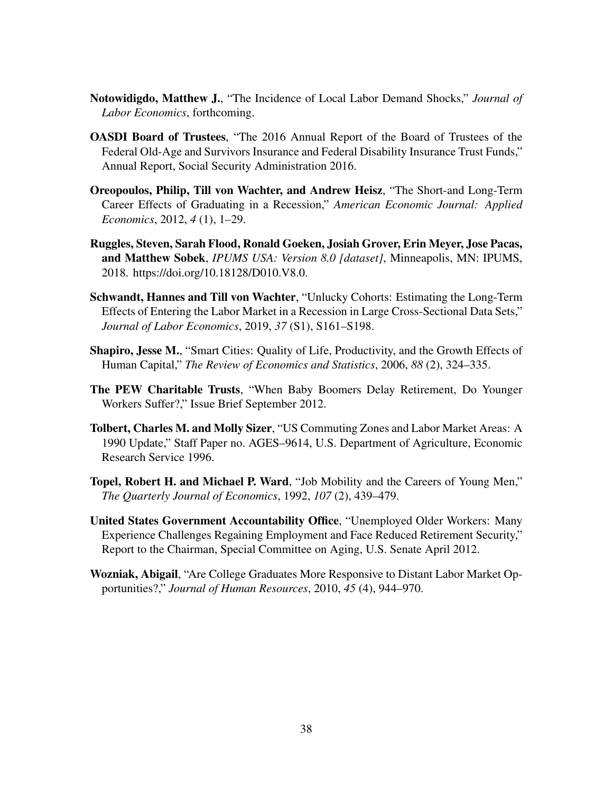- <span id="page-37-4"></span>Notowidigdo, Matthew J., "The Incidence of Local Labor Demand Shocks," *Journal of Labor Economics*, forthcoming.
- <span id="page-37-10"></span>OASDI Board of Trustees, "The 2016 Annual Report of the Board of Trustees of the Federal Old-Age and Survivors Insurance and Federal Disability Insurance Trust Funds," Annual Report, Social Security Administration 2016.
- <span id="page-37-6"></span>Oreopoulos, Philip, Till von Wachter, and Andrew Heisz, "The Short-and Long-Term Career Effects of Graduating in a Recession," *American Economic Journal: Applied Economics*, 2012, *4* (1), 1–29.
- <span id="page-37-0"></span>Ruggles, Steven, Sarah Flood, Ronald Goeken, Josiah Grover, Erin Meyer, Jose Pacas, and Matthew Sobek, *IPUMS USA: Version 8.0 [dataset]*, Minneapolis, MN: IPUMS, 2018. https://doi.org/10.18128/D010.V8.0.
- <span id="page-37-7"></span>Schwandt, Hannes and Till von Wachter, "Unlucky Cohorts: Estimating the Long-Term Effects of Entering the Labor Market in a Recession in Large Cross-Sectional Data Sets," *Journal of Labor Economics*, 2019, *37* (S1), S161–S198.
- <span id="page-37-5"></span>Shapiro, Jesse M., "Smart Cities: Quality of Life, Productivity, and the Growth Effects of Human Capital," *The Review of Economics and Statistics*, 2006, *88* (2), 324–335.
- <span id="page-37-9"></span>The PEW Charitable Trusts, "When Baby Boomers Delay Retirement, Do Younger Workers Suffer?," Issue Brief September 2012.
- <span id="page-37-1"></span>Tolbert, Charles M. and Molly Sizer, "US Commuting Zones and Labor Market Areas: A 1990 Update," Staff Paper no. AGES–9614, U.S. Department of Agriculture, Economic Research Service 1996.
- <span id="page-37-2"></span>Topel, Robert H. and Michael P. Ward, "Job Mobility and the Careers of Young Men," *The Quarterly Journal of Economics*, 1992, *107* (2), 439–479.
- <span id="page-37-8"></span>United States Government Accountability Office, "Unemployed Older Workers: Many Experience Challenges Regaining Employment and Face Reduced Retirement Security," Report to the Chairman, Special Committee on Aging, U.S. Senate April 2012.
- <span id="page-37-3"></span>Wozniak, Abigail, "Are College Graduates More Responsive to Distant Labor Market Opportunities?," *Journal of Human Resources*, 2010, *45* (4), 944–970.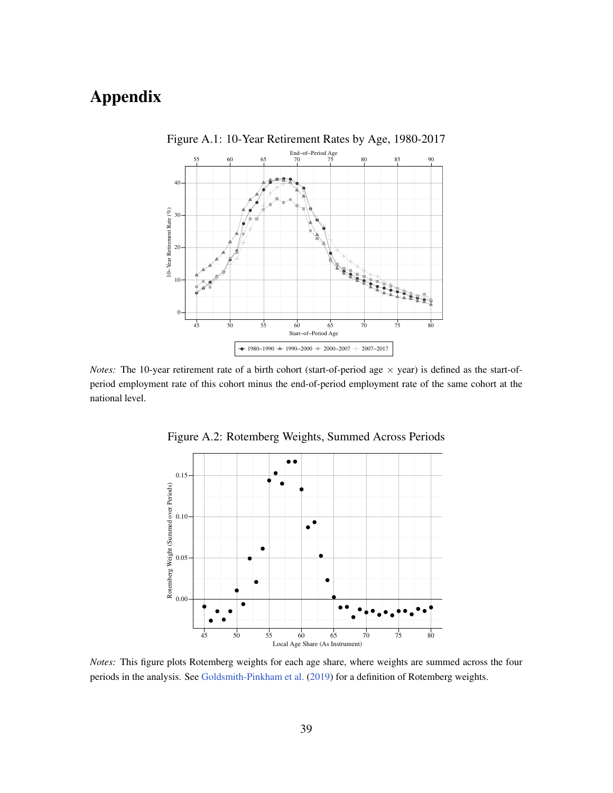# <span id="page-38-0"></span>Appendix



Figure A.1: 10-Year Retirement Rates by Age, 1980-2017

<span id="page-38-1"></span>*Notes:* The 10-year retirement rate of a birth cohort (start-of-period age  $\times$  year) is defined as the start-ofperiod employment rate of this cohort minus the end-of-period employment rate of the same cohort at the national level.



Figure A.2: Rotemberg Weights, Summed Across Periods

*Notes:* This figure plots Rotemberg weights for each age share, where weights are summed across the four periods in the analysis. See [Goldsmith-Pinkham et al.](#page-36-6) [\(2019\)](#page-36-6) for a definition of Rotemberg weights.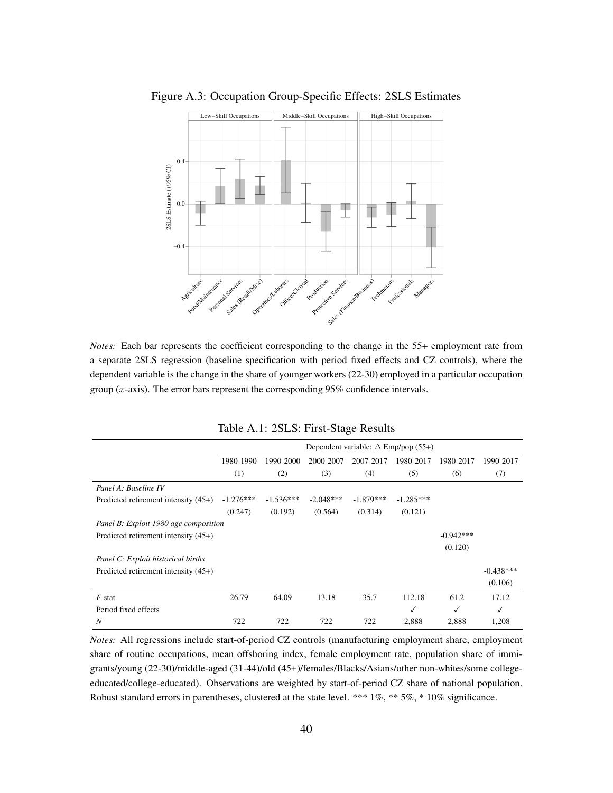

<span id="page-39-1"></span>Figure A.3: Occupation Group-Specific Effects: 2SLS Estimates

*Notes:* Each bar represents the coefficient corresponding to the change in the 55+ employment rate from a separate 2SLS regression (baseline specification with period fixed effects and CZ controls), where the dependent variable is the change in the share of younger workers (22-30) employed in a particular occupation group  $(x$ -axis). The error bars represent the corresponding 95% confidence intervals.

<span id="page-39-0"></span>

|                                        | Dependent variable: $\Delta$ Emp/pop (55+) |             |             |             |              |             |             |  |  |
|----------------------------------------|--------------------------------------------|-------------|-------------|-------------|--------------|-------------|-------------|--|--|
|                                        | 1980-1990                                  | 1990-2000   | 2000-2007   | 2007-2017   | 1980-2017    | 1980-2017   | 1990-2017   |  |  |
|                                        | (1)                                        | (2)         | (3)         | (4)         | (5)          | (6)         | (7)         |  |  |
| Panel A: Baseline IV                   |                                            |             |             |             |              |             |             |  |  |
| Predicted retirement intensity (45+)   | $-1.276***$                                | $-1.536***$ | $-2.048***$ | $-1.879***$ | $-1.285***$  |             |             |  |  |
|                                        | (0.247)                                    | (0.192)     | (0.564)     | (0.314)     | (0.121)      |             |             |  |  |
| Panel B: Exploit 1980 age composition  |                                            |             |             |             |              |             |             |  |  |
| Predicted retirement intensity $(45+)$ |                                            |             |             |             |              | $-0.942***$ |             |  |  |
|                                        |                                            |             |             |             |              | (0.120)     |             |  |  |
| Panel C: Exploit historical births     |                                            |             |             |             |              |             |             |  |  |
| Predicted retirement intensity $(45+)$ |                                            |             |             |             |              |             | $-0.438***$ |  |  |
|                                        |                                            |             |             |             |              |             | (0.106)     |  |  |
| $F$ -stat                              | 26.79                                      | 64.09       | 13.18       | 35.7        | 112.18       | 61.2        | 17.12       |  |  |
| Period fixed effects                   |                                            |             |             |             | $\checkmark$ | ✓           | ✓           |  |  |
| N                                      | 722                                        | 722         | 722         | 722         | 2,888        | 2,888       | 1,208       |  |  |

|  |  |  | Table A.1: 2SLS: First-Stage Results |  |
|--|--|--|--------------------------------------|--|
|--|--|--|--------------------------------------|--|

*Notes:* All regressions include start-of-period CZ controls (manufacturing employment share, employment share of routine occupations, mean offshoring index, female employment rate, population share of immigrants/young (22-30)/middle-aged (31-44)/old (45+)/females/Blacks/Asians/other non-whites/some collegeeducated/college-educated). Observations are weighted by start-of-period CZ share of national population. Robust standard errors in parentheses, clustered at the state level. \*\*\* 1%, \*\* 5%, \* 10% significance.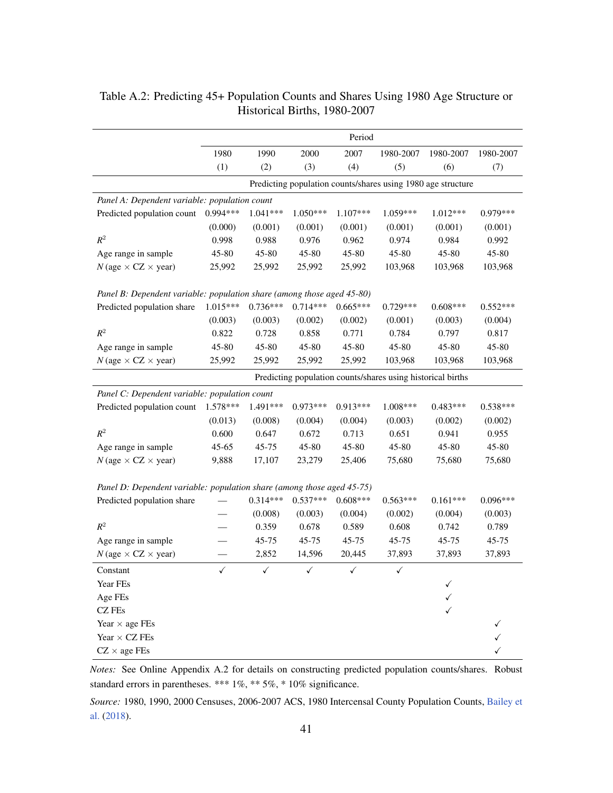|                                                                        | Period     |              |              |              |                                                              |            |            |  |
|------------------------------------------------------------------------|------------|--------------|--------------|--------------|--------------------------------------------------------------|------------|------------|--|
|                                                                        | 1980       | 1990         | 2000         | 2007         | 1980-2007                                                    | 1980-2007  | 1980-2007  |  |
|                                                                        | (1)        | (2)          | (3)          | (4)          | (5)                                                          | (6)        | (7)        |  |
|                                                                        |            |              |              |              | Predicting population counts/shares using 1980 age structure |            |            |  |
| Panel A: Dependent variable: population count                          |            |              |              |              |                                                              |            |            |  |
| Predicted population count                                             | 0.994***   | $1.041***$   | 1.050***     | 1.107***     | 1.059***                                                     | $1.012***$ | 0.979***   |  |
|                                                                        | (0.000)    | (0.001)      | (0.001)      | (0.001)      | (0.001)                                                      | (0.001)    | (0.001)    |  |
| $R^2$                                                                  | 0.998      | 0.988        | 0.976        | 0.962        | 0.974                                                        | 0.984      | 0.992      |  |
| Age range in sample                                                    | 45-80      | 45-80        | 45-80        | 45-80        | 45-80                                                        | 45-80      | 45-80      |  |
| $N$ (age $\times$ CZ $\times$ year)                                    | 25,992     | 25,992       | 25,992       | 25,992       | 103,968                                                      | 103,968    | 103,968    |  |
| Panel B: Dependent variable: population share (among those aged 45-80) |            |              |              |              |                                                              |            |            |  |
| Predicted population share                                             | 1.015***   | $0.736***$   | $0.714***$   | $0.665***$   | $0.729***$                                                   | $0.608***$ | $0.552***$ |  |
|                                                                        | (0.003)    | (0.003)      | (0.002)      | (0.002)      | (0.001)                                                      | (0.003)    | (0.004)    |  |
| $R^2$                                                                  | 0.822      | 0.728        | 0.858        | 0.771        | 0.784                                                        | 0.797      | 0.817      |  |
| Age range in sample                                                    | 45-80      | 45-80        | 45-80        | 45-80        | 45-80                                                        | 45-80      | 45-80      |  |
| $N$ (age $\times$ CZ $\times$ year)                                    | 25,992     | 25,992       | 25,992       | 25,992       | 103,968                                                      | 103,968    | 103,968    |  |
|                                                                        |            |              |              |              | Predicting population counts/shares using historical births  |            |            |  |
| Panel C: Dependent variable: population count                          |            |              |              |              |                                                              |            |            |  |
| Predicted population count                                             | $1.578***$ | 1.491***     | 0.973***     | $0.913***$   | $1.008***$                                                   | $0.483***$ | $0.538***$ |  |
|                                                                        | (0.013)    | (0.008)      | (0.004)      | (0.004)      | (0.003)                                                      | (0.002)    | (0.002)    |  |
| $R^2$                                                                  | 0.600      | 0.647        | 0.672        | 0.713        | 0.651                                                        | 0.941      | 0.955      |  |
| Age range in sample                                                    | $45 - 65$  | 45-75        | 45-80        | 45-80        | 45-80                                                        | 45-80      | 45-80      |  |
| $N$ (age $\times$ CZ $\times$ year)                                    | 9,888      | 17,107       | 23,279       | 25,406       | 75,680                                                       | 75,680     | 75,680     |  |
| Panel D: Dependent variable: population share (among those aged 45-75) |            |              |              |              |                                                              |            |            |  |
| Predicted population share                                             |            | $0.314***$   | $0.537***$   | $0.608***$   | $0.563***$                                                   | $0.161***$ | $0.096***$ |  |
|                                                                        |            | (0.008)      | (0.003)      | (0.004)      | (0.002)                                                      | (0.004)    | (0.003)    |  |
| $R^2$                                                                  |            | 0.359        | 0.678        | 0.589        | 0.608                                                        | 0.742      | 0.789      |  |
| Age range in sample                                                    |            | 45-75        | 45-75        | 45-75        | 45-75                                                        | 45-75      | 45-75      |  |
| $N$ (age $\times$ CZ $\times$ year)                                    |            | 2,852        | 14,596       | 20,445       | 37,893                                                       | 37,893     | 37,893     |  |
| Constant                                                               | ✓          | $\checkmark$ | $\checkmark$ | $\checkmark$ | $\checkmark$                                                 |            |            |  |
| Year FEs                                                               |            |              |              |              |                                                              |            |            |  |
| Age FEs                                                                |            |              |              |              |                                                              |            |            |  |
| CZ FEs                                                                 |            |              |              |              |                                                              |            |            |  |
| Year $\times$ age FEs                                                  |            |              |              |              |                                                              |            |            |  |
| Year $\times$ CZ FEs                                                   |            |              |              |              |                                                              |            |            |  |
| $CZ \times age$ FEs                                                    |            |              |              |              |                                                              |            |            |  |

### <span id="page-40-0"></span>Table A.2: Predicting 45+ Population Counts and Shares Using 1980 Age Structure or Historical Births, 1980-2007

*Notes:* See Online Appendix A.2 for details on constructing predicted population counts/shares. Robust standard errors in parentheses. \*\*\* 1%, \*\* 5%, \* 10% significance.

*Source:* 1980, 1990, 2000 Censuses, 2006-2007 ACS, 1980 Intercensal County Population Counts, [Bailey et](#page-34-9) [al.](#page-34-9) [\(2018\)](#page-34-9).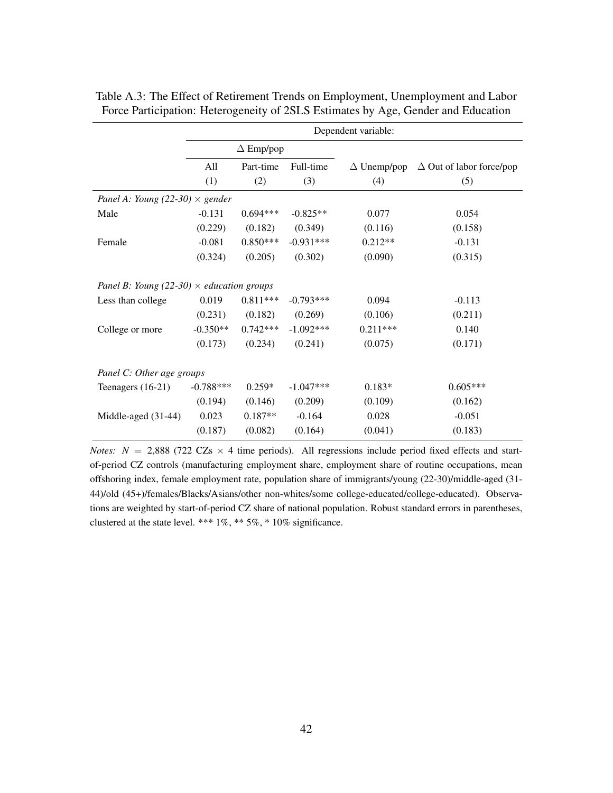|                                                  | Dependent variable: |                  |             |                    |                                 |  |  |  |
|--------------------------------------------------|---------------------|------------------|-------------|--------------------|---------------------------------|--|--|--|
|                                                  |                     | $\Delta$ Emp/pop |             |                    |                                 |  |  |  |
|                                                  | All                 | Part-time        | Full-time   | $\Delta$ Unemp/pop | $\Delta$ Out of labor force/pop |  |  |  |
|                                                  | (1)                 | (2)              | (3)         | (4)                | (5)                             |  |  |  |
| Panel A: Young (22-30) $\times$ gender           |                     |                  |             |                    |                                 |  |  |  |
| Male                                             | $-0.131$            | $0.694***$       | $-0.825**$  | 0.077              | 0.054                           |  |  |  |
|                                                  | (0.229)             | (0.182)          | (0.349)     | (0.116)            | (0.158)                         |  |  |  |
| Female                                           | $-0.081$            | $0.850***$       | $-0.931***$ | $0.212**$          | $-0.131$                        |  |  |  |
|                                                  | (0.324)             | (0.205)          | (0.302)     | (0.090)            | (0.315)                         |  |  |  |
| Panel B: Young (22-30) $\times$ education groups |                     |                  |             |                    |                                 |  |  |  |
| Less than college                                | 0.019               | $0.811***$       | $-0.793***$ | 0.094              | $-0.113$                        |  |  |  |
|                                                  | (0.231)             | (0.182)          | (0.269)     | (0.106)            | (0.211)                         |  |  |  |
| College or more                                  | $-0.350**$          | $0.742***$       | $-1.092***$ | $0.211***$         | 0.140                           |  |  |  |
|                                                  | (0.173)             | (0.234)          | (0.241)     | (0.075)            | (0.171)                         |  |  |  |
| Panel C: Other age groups                        |                     |                  |             |                    |                                 |  |  |  |
| Teenagers $(16-21)$                              | $-0.788***$         | $0.259*$         | $-1.047***$ | $0.183*$           | $0.605***$                      |  |  |  |
|                                                  | (0.194)             | (0.146)          | (0.209)     | (0.109)            | (0.162)                         |  |  |  |
| Middle-aged (31-44)                              | 0.023               | $0.187**$        | $-0.164$    | 0.028              | $-0.051$                        |  |  |  |
|                                                  | (0.187)             | (0.082)          | (0.164)     | (0.041)            | (0.183)                         |  |  |  |

<span id="page-41-0"></span>Table A.3: The Effect of Retirement Trends on Employment, Unemployment and Labor Force Participation: Heterogeneity of 2SLS Estimates by Age, Gender and Education

*Notes:*  $N = 2,888$  (722 CZs  $\times$  4 time periods). All regressions include period fixed effects and startof-period CZ controls (manufacturing employment share, employment share of routine occupations, mean offshoring index, female employment rate, population share of immigrants/young (22-30)/middle-aged (31- 44)/old (45+)/females/Blacks/Asians/other non-whites/some college-educated/college-educated). Observations are weighted by start-of-period CZ share of national population. Robust standard errors in parentheses, clustered at the state level. \*\*\* 1%, \*\* 5%, \* 10% significance.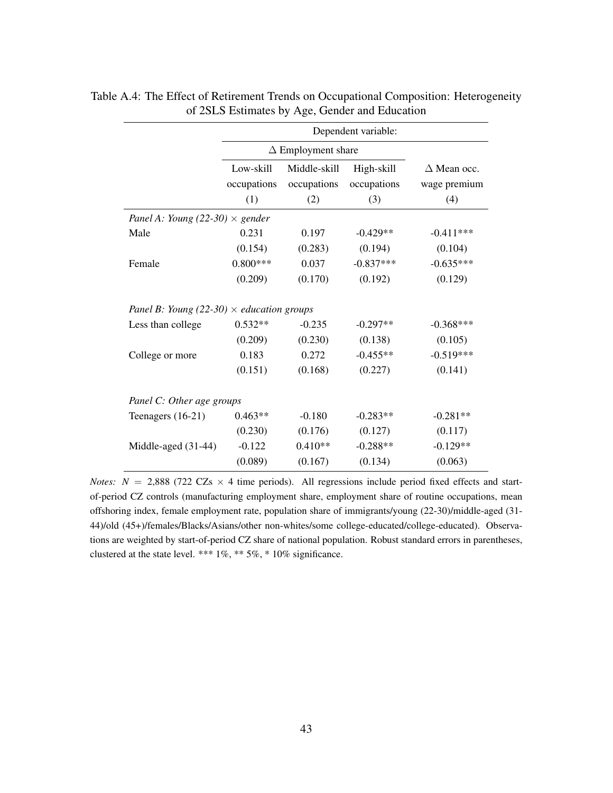|                                                  | Dependent variable:             |                                    |                                  |                                           |  |  |  |  |
|--------------------------------------------------|---------------------------------|------------------------------------|----------------------------------|-------------------------------------------|--|--|--|--|
|                                                  |                                 | $\Delta$ Employment share          |                                  |                                           |  |  |  |  |
|                                                  | Low-skill<br>occupations<br>(1) | Middle-skill<br>occupations<br>(2) | High-skill<br>occupations<br>(3) | $\Delta$ Mean occ.<br>wage premium<br>(4) |  |  |  |  |
| Panel A: Young (22-30) $\times$ gender           |                                 |                                    |                                  |                                           |  |  |  |  |
| Male                                             | 0.231                           | 0.197                              | $-0.429**$                       | $-0.411***$                               |  |  |  |  |
|                                                  | (0.154)                         | (0.283)                            | (0.194)                          | (0.104)                                   |  |  |  |  |
| Female                                           | $0.800***$                      | 0.037                              | $-0.837***$                      | $-0.635***$                               |  |  |  |  |
|                                                  | (0.209)                         | (0.170)                            | (0.192)                          | (0.129)                                   |  |  |  |  |
| Panel B: Young (22-30) $\times$ education groups |                                 |                                    |                                  |                                           |  |  |  |  |
| Less than college                                | $0.532**$                       | $-0.235$                           | $-0.297**$                       | $-0.368***$                               |  |  |  |  |
|                                                  | (0.209)                         | (0.230)                            | (0.138)                          | (0.105)                                   |  |  |  |  |
| College or more                                  | 0.183                           | 0.272                              | $-0.455**$                       | $-0.519***$                               |  |  |  |  |
|                                                  | (0.151)                         | (0.168)                            | (0.227)                          | (0.141)                                   |  |  |  |  |
| Panel C: Other age groups                        |                                 |                                    |                                  |                                           |  |  |  |  |
| Teenagers $(16-21)$                              | $0.463**$                       | $-0.180$                           | $-0.283**$                       | $-0.281**$                                |  |  |  |  |
|                                                  | (0.230)                         | (0.176)                            | (0.127)                          | (0.117)                                   |  |  |  |  |
| Middle-aged (31-44)                              | $-0.122$                        | $0.410**$                          | $-0.288**$                       | $-0.129**$                                |  |  |  |  |
|                                                  | (0.089)                         | (0.167)                            | (0.134)                          | (0.063)                                   |  |  |  |  |

<span id="page-42-0"></span>Table A.4: The Effect of Retirement Trends on Occupational Composition: Heterogeneity of 2SLS Estimates by Age, Gender and Education

*Notes:*  $N = 2,888$  (722 CZs  $\times$  4 time periods). All regressions include period fixed effects and startof-period CZ controls (manufacturing employment share, employment share of routine occupations, mean offshoring index, female employment rate, population share of immigrants/young (22-30)/middle-aged (31- 44)/old (45+)/females/Blacks/Asians/other non-whites/some college-educated/college-educated). Observations are weighted by start-of-period CZ share of national population. Robust standard errors in parentheses, clustered at the state level. \*\*\* 1%, \*\* 5%, \* 10% significance.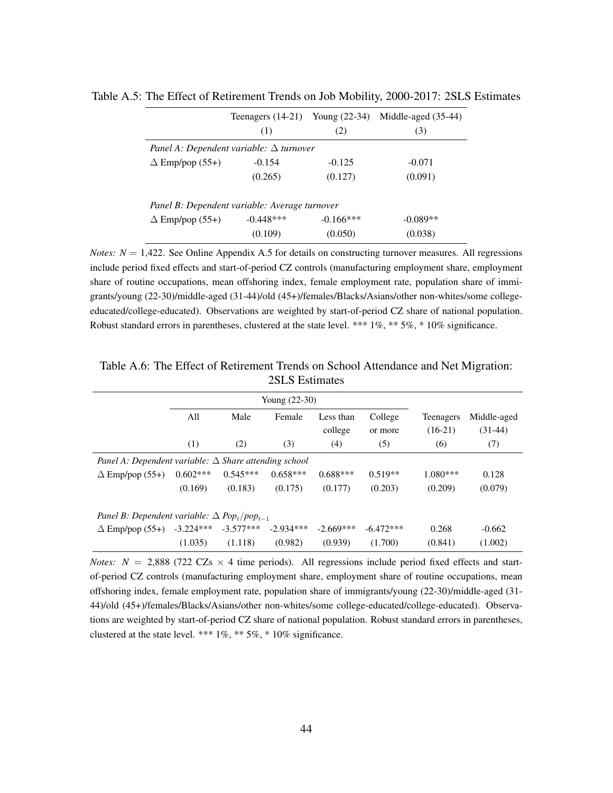|                                                | Teenagers $(14-21)$ Young $(22-34)$ |              | Middle-aged (35-44) |  |  |  |  |  |  |  |
|------------------------------------------------|-------------------------------------|--------------|---------------------|--|--|--|--|--|--|--|
|                                                | (1)                                 | (2)          | (3)                 |  |  |  |  |  |  |  |
| Panel A: Dependent variable: $\Delta$ turnover |                                     |              |                     |  |  |  |  |  |  |  |
| $\Delta$ Emp/pop (55+)                         | $-0.154$                            | $-0.125$     | $-0.071$            |  |  |  |  |  |  |  |
|                                                | (0.265)                             | (0.127)      | (0.091)             |  |  |  |  |  |  |  |
| Panel B: Dependent variable: Average turnover  |                                     |              |                     |  |  |  |  |  |  |  |
| $\Delta$ Emp/pop (55+)                         | $-0.448***$                         | $-0.166$ *** | $-0.089**$          |  |  |  |  |  |  |  |

<span id="page-43-0"></span>Table A.5: The Effect of Retirement Trends on Job Mobility, 2000-2017: 2SLS Estimates

*Notes:*  $N = 1,422$ *.* See Online Appendix A.5 for details on constructing turnover measures. All regressions include period fixed effects and start-of-period CZ controls (manufacturing employment share, employment share of routine occupations, mean offshoring index, female employment rate, population share of immigrants/young (22-30)/middle-aged (31-44)/old (45+)/females/Blacks/Asians/other non-whites/some collegeeducated/college-educated). Observations are weighted by start-of-period CZ share of national population. Robust standard errors in parentheses, clustered at the state level. \*\*\* 1%, \*\* 5%, \* 10% significance.

 $(0.109)$   $(0.050)$   $(0.038)$ 

|                                                                            |             | Young $(22-30)$ |             |                      |                    |                               |                          |  |
|----------------------------------------------------------------------------|-------------|-----------------|-------------|----------------------|--------------------|-------------------------------|--------------------------|--|
|                                                                            | All         | Male            | Female      | Less than<br>college | College<br>or more | <b>Teenagers</b><br>$(16-21)$ | Middle-aged<br>$(31-44)$ |  |
|                                                                            | (1)         | (2)             | (3)         | (4)                  | (5)                | (6)                           | (7)                      |  |
| Panel A: Dependent variable: $\Delta$ Share attending school               |             |                 |             |                      |                    |                               |                          |  |
| $\Delta$ Emp/pop (55+)                                                     | $0.602***$  | $0.545***$      | $0.658***$  | $0.688***$           | $0.519**$          | $1.080***$                    | 0.128                    |  |
|                                                                            | (0.169)     | (0.183)         | (0.175)     | (0.177)              | (0.203)            | (0.209)                       | (0.079)                  |  |
| Panel B: Dependent variable: $\Delta$ Pop <sub>t</sub> /pop <sub>t-1</sub> |             |                 |             |                      |                    |                               |                          |  |
| $\Delta$ Emp/pop (55+)                                                     | $-3.224***$ | $-3.577***$     | $-2.934***$ | $-2.669***$          | $-6.472***$        | 0.268                         | $-0.662$                 |  |
|                                                                            | (1.035)     | (1.118)         | (0.982)     | (0.939)              | (1.700)            | (0.841)                       | (1.002)                  |  |

<span id="page-43-1"></span>Table A.6: The Effect of Retirement Trends on School Attendance and Net Migration: 2SLS Estimates

*Notes: N* = 2,888 (722 CZs  $\times$  4 time periods). All regressions include period fixed effects and startof-period CZ controls (manufacturing employment share, employment share of routine occupations, mean offshoring index, female employment rate, population share of immigrants/young (22-30)/middle-aged (31- 44)/old (45+)/females/Blacks/Asians/other non-whites/some college-educated/college-educated). Observations are weighted by start-of-period CZ share of national population. Robust standard errors in parentheses, clustered at the state level. \*\*\* 1%, \*\* 5%, \* 10% significance.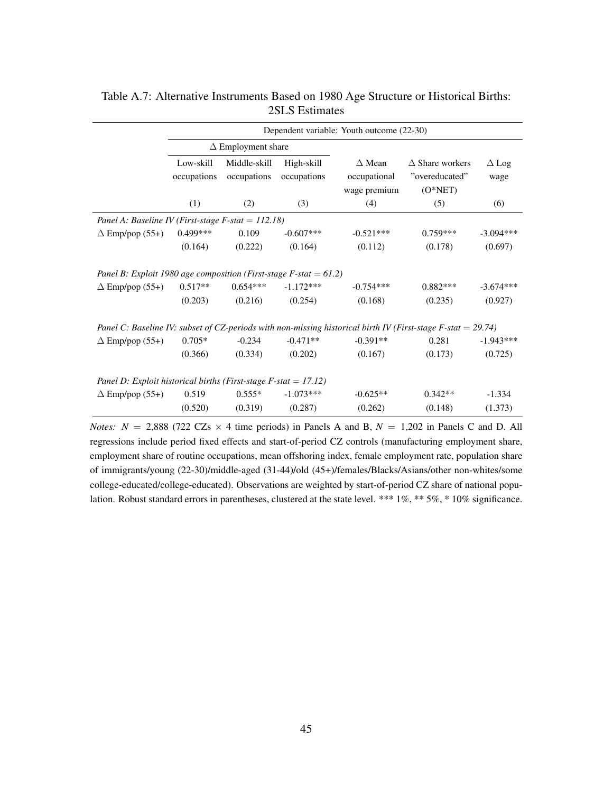| Dependent variable: Youth outcome (22-30) |                             |                           |                                                                                                                                                    |                                                                      |                                                                                                              |  |  |  |
|-------------------------------------------|-----------------------------|---------------------------|----------------------------------------------------------------------------------------------------------------------------------------------------|----------------------------------------------------------------------|--------------------------------------------------------------------------------------------------------------|--|--|--|
|                                           |                             |                           |                                                                                                                                                    |                                                                      |                                                                                                              |  |  |  |
| Low-skill<br>occupations                  | Middle-skill<br>occupations | High-skill<br>occupations | $\Delta$ Mean<br>occupational<br>wage premium                                                                                                      | $\triangle$ Share workers<br>"overeducated"<br>$(O*NET)$             | $\Delta$ Log<br>wage                                                                                         |  |  |  |
| (1)                                       | (2)                         | (3)                       | (4)                                                                                                                                                | (5)                                                                  | (6)                                                                                                          |  |  |  |
|                                           |                             |                           |                                                                                                                                                    |                                                                      |                                                                                                              |  |  |  |
| $0.499***$                                | 0.109                       | $-0.607***$               | $-0.521***$                                                                                                                                        | $0.759***$                                                           | $-3.094***$                                                                                                  |  |  |  |
| (0.164)                                   | (0.222)                     | (0.164)                   | (0.112)                                                                                                                                            | (0.178)                                                              | (0.697)                                                                                                      |  |  |  |
| $0.517**$<br>(0.203)                      | $0.654***$<br>(0.216)       | $-1.172***$<br>(0.254)    | $-0.754***$<br>(0.168)                                                                                                                             | $0.882***$<br>(0.235)                                                | $-3.674***$<br>(0.927)                                                                                       |  |  |  |
|                                           |                             |                           |                                                                                                                                                    |                                                                      |                                                                                                              |  |  |  |
| $0.705*$                                  | $-0.234$                    | $-0.471**$                | $-0.391**$                                                                                                                                         | 0.281                                                                | $-1.943***$                                                                                                  |  |  |  |
| (0.366)                                   | (0.334)                     | (0.202)                   | (0.167)                                                                                                                                            | (0.173)                                                              | (0.725)                                                                                                      |  |  |  |
|                                           |                             |                           |                                                                                                                                                    |                                                                      |                                                                                                              |  |  |  |
| 0.519                                     | $0.555*$                    | $-1.073***$               | $-0.625**$                                                                                                                                         | $0.342**$                                                            | $-1.334$                                                                                                     |  |  |  |
| (0.520)                                   | (0.319)                     | (0.287)                   | (0.262)                                                                                                                                            | (0.148)                                                              | (1.373)                                                                                                      |  |  |  |
|                                           |                             |                           | $\Delta$ Employment share<br>Panel A: Baseline IV (First-stage F-stat = 112.18)<br>Panel D: Exploit historical births (First-stage F-stat = 17.12) | Panel B: Exploit 1980 age composition (First-stage F-stat = $61.2$ ) | Panel C: Baseline IV: subset of CZ-periods with non-missing historical birth IV (First-stage F-stat = 29.74) |  |  |  |

<span id="page-44-0"></span>Table A.7: Alternative Instruments Based on 1980 Age Structure or Historical Births: 2SLS Estimates

*Notes:*  $N = 2,888$  (722 CZs  $\times$  4 time periods) in Panels A and B,  $N = 1,202$  in Panels C and D. All regressions include period fixed effects and start-of-period CZ controls (manufacturing employment share, employment share of routine occupations, mean offshoring index, female employment rate, population share of immigrants/young (22-30)/middle-aged (31-44)/old (45+)/females/Blacks/Asians/other non-whites/some college-educated/college-educated). Observations are weighted by start-of-period CZ share of national population. Robust standard errors in parentheses, clustered at the state level. \*\*\* 1%, \*\* 5%, \* 10% significance.